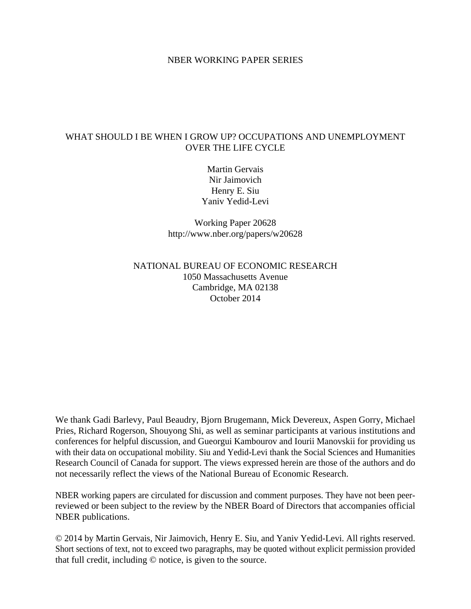### NBER WORKING PAPER SERIES

## WHAT SHOULD I BE WHEN I GROW UP? OCCUPATIONS AND UNEMPLOYMENT OVER THE LIFE CYCLE

Martin Gervais Nir Jaimovich Henry E. Siu Yaniv Yedid-Levi

Working Paper 20628 http://www.nber.org/papers/w20628

## NATIONAL BUREAU OF ECONOMIC RESEARCH 1050 Massachusetts Avenue Cambridge, MA 02138 October 2014

We thank Gadi Barlevy, Paul Beaudry, Bjorn Brugemann, Mick Devereux, Aspen Gorry, Michael Pries, Richard Rogerson, Shouyong Shi, as well as seminar participants at various institutions and conferences for helpful discussion, and Gueorgui Kambourov and Iourii Manovskii for providing us with their data on occupational mobility. Siu and Yedid-Levi thank the Social Sciences and Humanities Research Council of Canada for support. The views expressed herein are those of the authors and do not necessarily reflect the views of the National Bureau of Economic Research.

NBER working papers are circulated for discussion and comment purposes. They have not been peerreviewed or been subject to the review by the NBER Board of Directors that accompanies official NBER publications.

© 2014 by Martin Gervais, Nir Jaimovich, Henry E. Siu, and Yaniv Yedid-Levi. All rights reserved. Short sections of text, not to exceed two paragraphs, may be quoted without explicit permission provided that full credit, including © notice, is given to the source.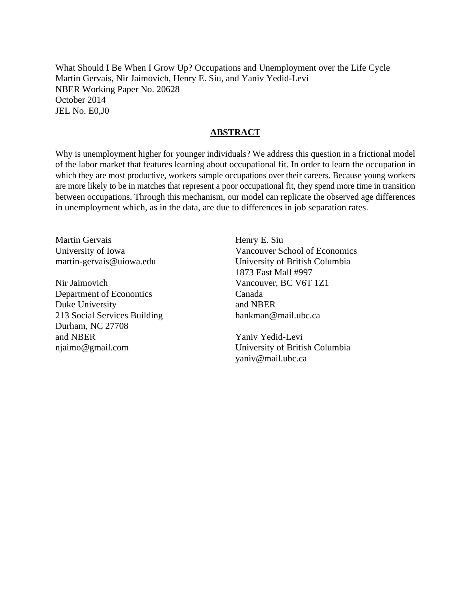What Should I Be When I Grow Up? Occupations and Unemployment over the Life Cycle Martin Gervais, Nir Jaimovich, Henry E. Siu, and Yaniv Yedid-Levi NBER Working Paper No. 20628 October 2014 JEL No. E0,J0

### **ABSTRACT**

Why is unemployment higher for younger individuals? We address this question in a frictional model of the labor market that features learning about occupational fit. In order to learn the occupation in which they are most productive, workers sample occupations over their careers. Because young workers are more likely to be in matches that represent a poor occupational fit, they spend more time in transition between occupations. Through this mechanism, our model can replicate the observed age differences in unemployment which, as in the data, are due to differences in job separation rates.

Martin Gervais University of Iowa martin-gervais@uiowa.edu

Nir Jaimovich Department of Economics Duke University 213 Social Services Building Durham, NC 27708 and NBER njaimo@gmail.com

Henry E. Siu Vancouver School of Economics University of British Columbia 1873 East Mall #997 Vancouver, BC V6T 1Z1 Canada and NBER hankman@mail.ubc.ca

Yaniv Yedid-Levi University of British Columbia yaniv@mail.ubc.ca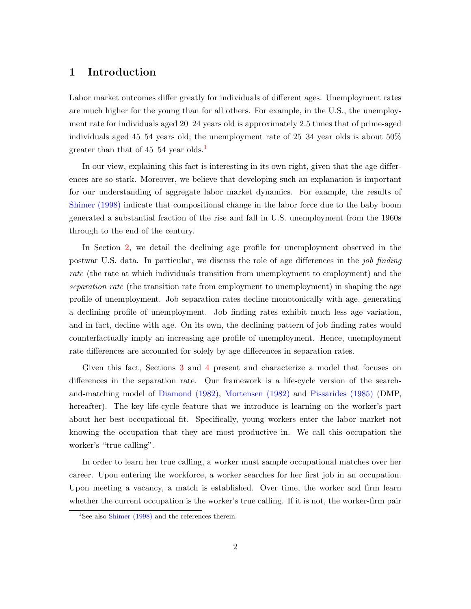## 1 Introduction

Labor market outcomes differ greatly for individuals of different ages. Unemployment rates are much higher for the young than for all others. For example, in the U.S., the unemployment rate for individuals aged 20–24 years old is approximately 2.5 times that of prime-aged individuals aged 45–54 years old; the unemployment rate of 25–34 year olds is about 50% greater than that of  $45-54$  year olds.<sup>[1](#page--1-0)</sup>

In our view, explaining this fact is interesting in its own right, given that the age differences are so stark. Moreover, we believe that developing such an explanation is important for our understanding of aggregate labor market dynamics. For example, the results of [Shimer](#page-33-0) [\(1998\)](#page-33-0) indicate that compositional change in the labor force due to the baby boom generated a substantial fraction of the rise and fall in U.S. unemployment from the 1960s through to the end of the century.

In Section [2,](#page-5-0) we detail the declining age profile for unemployment observed in the postwar U.S. data. In particular, we discuss the role of age differences in the job finding rate (the rate at which individuals transition from unemployment to employment) and the separation rate (the transition rate from employment to unemployment) in shaping the age profile of unemployment. Job separation rates decline monotonically with age, generating a declining profile of unemployment. Job finding rates exhibit much less age variation, and in fact, decline with age. On its own, the declining pattern of job finding rates would counterfactually imply an increasing age profile of unemployment. Hence, unemployment rate differences are accounted for solely by age differences in separation rates.

Given this fact, Sections [3](#page-9-0) and [4](#page-14-0) present and characterize a model that focuses on differences in the separation rate. Our framework is a life-cycle version of the searchand-matching model of [Diamond](#page-32-0) [\(1982\)](#page-32-0), [Mortensen](#page-32-1) [\(1982\)](#page-32-1) and [Pissarides](#page-33-1) [\(1985\)](#page-33-1) (DMP, hereafter). The key life-cycle feature that we introduce is learning on the worker's part about her best occupational fit. Specifically, young workers enter the labor market not knowing the occupation that they are most productive in. We call this occupation the worker's "true calling".

In order to learn her true calling, a worker must sample occupational matches over her career. Upon entering the workforce, a worker searches for her first job in an occupation. Upon meeting a vacancy, a match is established. Over time, the worker and firm learn whether the current occupation is the worker's true calling. If it is not, the worker-firm pair

<sup>&</sup>lt;sup>1</sup>See also [Shimer](#page-33-0) [\(1998\)](#page-33-0) and the references therein.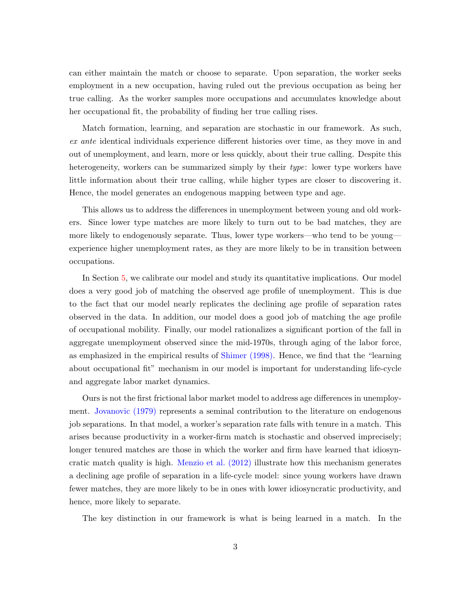can either maintain the match or choose to separate. Upon separation, the worker seeks employment in a new occupation, having ruled out the previous occupation as being her true calling. As the worker samples more occupations and accumulates knowledge about her occupational fit, the probability of finding her true calling rises.

Match formation, learning, and separation are stochastic in our framework. As such, ex ante identical individuals experience different histories over time, as they move in and out of unemployment, and learn, more or less quickly, about their true calling. Despite this heterogeneity, workers can be summarized simply by their *type*: lower type workers have little information about their true calling, while higher types are closer to discovering it. Hence, the model generates an endogenous mapping between type and age.

This allows us to address the differences in unemployment between young and old workers. Since lower type matches are more likely to turn out to be bad matches, they are more likely to endogenously separate. Thus, lower type workers—who tend to be young experience higher unemployment rates, as they are more likely to be in transition between occupations.

In Section [5,](#page-17-0) we calibrate our model and study its quantitative implications. Our model does a very good job of matching the observed age profile of unemployment. This is due to the fact that our model nearly replicates the declining age profile of separation rates observed in the data. In addition, our model does a good job of matching the age profile of occupational mobility. Finally, our model rationalizes a significant portion of the fall in aggregate unemployment observed since the mid-1970s, through aging of the labor force, as emphasized in the empirical results of [Shimer](#page-33-0) [\(1998\)](#page-33-0). Hence, we find that the "learning about occupational fit" mechanism in our model is important for understanding life-cycle and aggregate labor market dynamics.

Ours is not the first frictional labor market model to address age differences in unemployment. [Jovanovic](#page-32-2) [\(1979\)](#page-32-2) represents a seminal contribution to the literature on endogenous job separations. In that model, a worker's separation rate falls with tenure in a match. This arises because productivity in a worker-firm match is stochastic and observed imprecisely; longer tenured matches are those in which the worker and firm have learned that idiosyncratic match quality is high. [Menzio et al.](#page-32-3) [\(2012\)](#page-32-3) illustrate how this mechanism generates a declining age profile of separation in a life-cycle model: since young workers have drawn fewer matches, they are more likely to be in ones with lower idiosyncratic productivity, and hence, more likely to separate.

The key distinction in our framework is what is being learned in a match. In the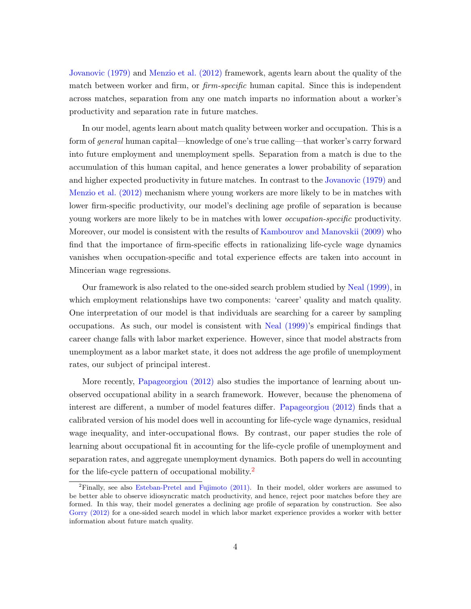[Jovanovic](#page-32-2) [\(1979\)](#page-32-2) and [Menzio et al.](#page-32-3) [\(2012\)](#page-32-3) framework, agents learn about the quality of the match between worker and firm, or *firm-specific* human capital. Since this is independent across matches, separation from any one match imparts no information about a worker's productivity and separation rate in future matches.

In our model, agents learn about match quality between worker and occupation. This is a form of general human capital—knowledge of one's true calling—that worker's carry forward into future employment and unemployment spells. Separation from a match is due to the accumulation of this human capital, and hence generates a lower probability of separation and higher expected productivity in future matches. In contrast to the [Jovanovic](#page-32-2) [\(1979\)](#page-32-2) and [Menzio et al.](#page-32-3) [\(2012\)](#page-32-3) mechanism where young workers are more likely to be in matches with lower firm-specific productivity, our model's declining age profile of separation is because young workers are more likely to be in matches with lower *occupation-specific* productivity. Moreover, our model is consistent with the results of [Kambourov and Manovskii](#page-32-4) [\(2009\)](#page-32-4) who find that the importance of firm-specific effects in rationalizing life-cycle wage dynamics vanishes when occupation-specific and total experience effects are taken into account in Mincerian wage regressions.

Our framework is also related to the one-sided search problem studied by [Neal](#page-32-5) [\(1999\)](#page-32-5), in which employment relationships have two components: 'career' quality and match quality. One interpretation of our model is that individuals are searching for a career by sampling occupations. As such, our model is consistent with [Neal](#page-32-5) [\(1999\)](#page-32-5)'s empirical findings that career change falls with labor market experience. However, since that model abstracts from unemployment as a labor market state, it does not address the age profile of unemployment rates, our subject of principal interest.

More recently, [Papageorgiou](#page-33-2) [\(2012\)](#page-33-2) also studies the importance of learning about unobserved occupational ability in a search framework. However, because the phenomena of interest are different, a number of model features differ. [Papageorgiou](#page-33-2) [\(2012\)](#page-33-2) finds that a calibrated version of his model does well in accounting for life-cycle wage dynamics, residual wage inequality, and inter-occupational flows. By contrast, our paper studies the role of learning about occupational fit in accounting for the life-cycle profile of unemployment and separation rates, and aggregate unemployment dynamics. Both papers do well in accounting for the life-cycle pattern of occupational mobility.<sup>[2](#page--1-0)</sup>

 ${}^{2}$ Finally, see also [Esteban-Pretel and Fujimoto](#page-32-6) [\(2011\)](#page-32-6). In their model, older workers are assumed to be better able to observe idiosyncratic match productivity, and hence, reject poor matches before they are formed. In this way, their model generates a declining age profile of separation by construction. See also [Gorry](#page-32-7) [\(2012\)](#page-32-7) for a one-sided search model in which labor market experience provides a worker with better information about future match quality.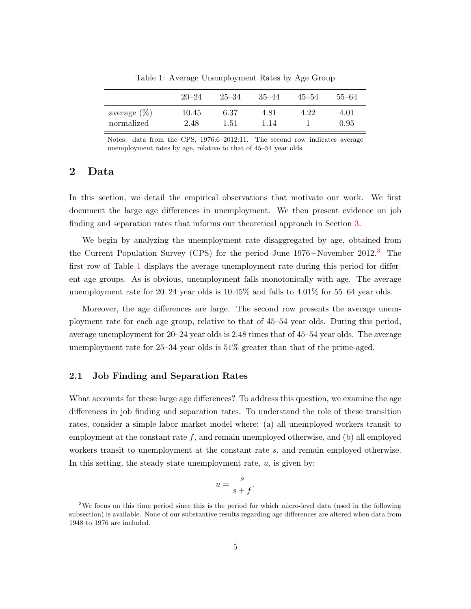|                | $20 - 24$ | $25 - 34$ | $35 - 44$ | $45 - 54$ | 55–64 |
|----------------|-----------|-----------|-----------|-----------|-------|
| average $(\%)$ | 10.45     | 6.37      | 4.81      | 4.22      | 4.01  |
| normalized     | 2.48      | 1.51      | 1.14      |           | 0.95  |

<span id="page-5-1"></span>Table 1: Average Unemployment Rates by Age Group

Notes: data from the CPS, 1976:6–2012:11. The second row indicates average unemployment rates by age, relative to that of 45–54 year olds.

# <span id="page-5-0"></span>2 Data

In this section, we detail the empirical observations that motivate our work. We first document the large age differences in unemployment. We then present evidence on job finding and separation rates that informs our theoretical approach in Section [3.](#page-9-0)

We begin by analyzing the unemployment rate disaggregated by age, obtained from the Current Population Survey (CPS) for the period June  $1976 -$ November  $2012.<sup>3</sup>$  $2012.<sup>3</sup>$  $2012.<sup>3</sup>$  The first row of Table [1](#page-5-1) displays the average unemployment rate during this period for different age groups. As is obvious, unemployment falls monotonically with age. The average unemployment rate for 20–24 year olds is 10.45% and falls to 4.01% for 55–64 year olds.

Moreover, the age differences are large. The second row presents the average unemployment rate for each age group, relative to that of 45–54 year olds. During this period, average unemployment for 20–24 year olds is 2.48 times that of 45–54 year olds. The average unemployment rate for  $25-34$  year olds is  $51\%$  greater than that of the prime-aged.

#### <span id="page-5-2"></span>2.1 Job Finding and Separation Rates

What accounts for these large age differences? To address this question, we examine the age differences in job finding and separation rates. To understand the role of these transition rates, consider a simple labor market model where: (a) all unemployed workers transit to employment at the constant rate  $f$ , and remain unemployed otherwise, and (b) all employed workers transit to unemployment at the constant rate s, and remain employed otherwise. In this setting, the steady state unemployment rate,  $u$ , is given by:

$$
u = \frac{s}{s+f}.
$$

<sup>&</sup>lt;sup>3</sup>We focus on this time period since this is the period for which micro-level data (used in the following subsection) is available. None of our substantive results regarding age differences are altered when data from 1948 to 1976 are included.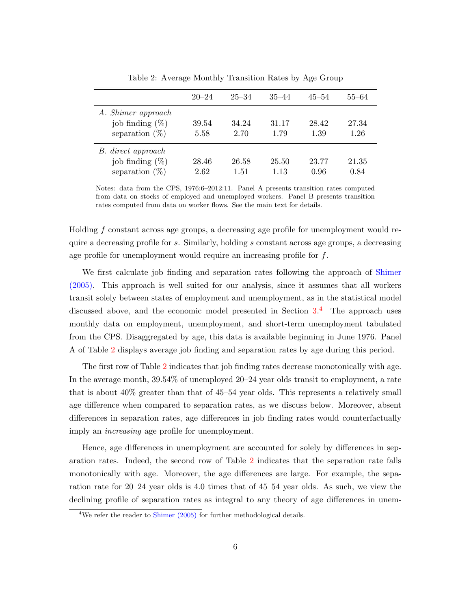|                                                               | $20 - 24$     | $25 - 34$     | $35 - 44$     | $45 - 54$     | 55–64         |
|---------------------------------------------------------------|---------------|---------------|---------------|---------------|---------------|
| A. Shimer approach<br>job finding $(\%)$<br>separation $(\%)$ | 39.54<br>5.58 | 34.24<br>2.70 | 31.17<br>1.79 | 28.42<br>1.39 | 27.34<br>1.26 |
| B. direct approach<br>job finding $(\%)$<br>separation $(\%)$ | 28.46<br>2.62 | 26.58<br>1.51 | 25.50<br>1.13 | 23.77<br>0.96 | 21.35<br>0.84 |

<span id="page-6-0"></span>Table 2: Average Monthly Transition Rates by Age Group

Notes: data from the CPS, 1976:6–2012:11. Panel A presents transition rates computed from data on stocks of employed and unemployed workers. Panel B presents transition rates computed from data on worker flows. See the main text for details.

Holding f constant across age groups, a decreasing age profile for unemployment would require a decreasing profile for s. Similarly, holding s constant across age groups, a decreasing age profile for unemployment would require an increasing profile for  $f$ .

We first calculate job finding and separation rates following the approach of [Shimer](#page-33-3) [\(2005\)](#page-33-3). This approach is well suited for our analysis, since it assumes that all workers transit solely between states of employment and unemployment, as in the statistical model discussed above, and the economic model presented in Section  $3<sup>4</sup>$  $3<sup>4</sup>$  $3<sup>4</sup>$ . The approach uses monthly data on employment, unemployment, and short-term unemployment tabulated from the CPS. Disaggregated by age, this data is available beginning in June 1976. Panel A of Table [2](#page-6-0) displays average job finding and separation rates by age during this period.

The first row of Table [2](#page-6-0) indicates that job finding rates decrease monotonically with age. In the average month, 39.54% of unemployed 20–24 year olds transit to employment, a rate that is about 40% greater than that of 45–54 year olds. This represents a relatively small age difference when compared to separation rates, as we discuss below. Moreover, absent differences in separation rates, age differences in job finding rates would counterfactually imply an increasing age profile for unemployment.

Hence, age differences in unemployment are accounted for solely by differences in separation rates. Indeed, the second row of Table [2](#page-6-0) indicates that the separation rate falls monotonically with age. Moreover, the age differences are large. For example, the separation rate for 20–24 year olds is 4.0 times that of 45–54 year olds. As such, we view the declining profile of separation rates as integral to any theory of age differences in unem-

<sup>&</sup>lt;sup>4</sup>We refer the reader to [Shimer](#page-33-3)  $(2005)$  for further methodological details.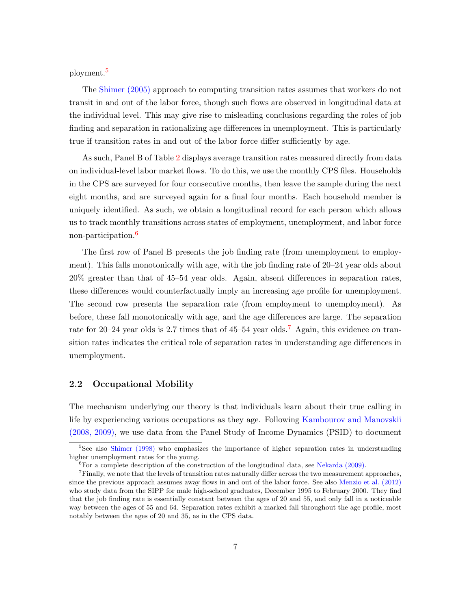ployment.[5](#page--1-0)

The [Shimer](#page-33-3) [\(2005\)](#page-33-3) approach to computing transition rates assumes that workers do not transit in and out of the labor force, though such flows are observed in longitudinal data at the individual level. This may give rise to misleading conclusions regarding the roles of job finding and separation in rationalizing age differences in unemployment. This is particularly true if transition rates in and out of the labor force differ sufficiently by age.

As such, Panel B of Table [2](#page-6-0) displays average transition rates measured directly from data on individual-level labor market flows. To do this, we use the monthly CPS files. Households in the CPS are surveyed for four consecutive months, then leave the sample during the next eight months, and are surveyed again for a final four months. Each household member is uniquely identified. As such, we obtain a longitudinal record for each person which allows us to track monthly transitions across states of employment, unemployment, and labor force non-participation.<sup>[6](#page--1-0)</sup>

The first row of Panel B presents the job finding rate (from unemployment to employment). This falls monotonically with age, with the job finding rate of 20–24 year olds about 20% greater than that of 45–54 year olds. Again, absent differences in separation rates, these differences would counterfactually imply an increasing age profile for unemployment. The second row presents the separation rate (from employment to unemployment). As before, these fall monotonically with age, and the age differences are large. The separation rate for 20–24 year olds is 2.[7](#page--1-0) times that of  $45$ –54 year olds.<sup>7</sup> Again, this evidence on transition rates indicates the critical role of separation rates in understanding age differences in unemployment.

#### 2.2 Occupational Mobility

The mechanism underlying our theory is that individuals learn about their true calling in life by experiencing various occupations as they age. Following [Kambourov and Manovskii](#page-32-8) [\(2008,](#page-32-8) [2009\)](#page-32-4), we use data from the Panel Study of Income Dynamics (PSID) to document

<sup>&</sup>lt;sup>5</sup>See also [Shimer](#page-33-0) [\(1998\)](#page-33-0) who emphasizes the importance of higher separation rates in understanding higher unemployment rates for the young.

 ${}^{6}$  For a complete description of the construction of the longitudinal data, see [Nekarda](#page-33-4) [\(2009\)](#page-33-4).

<sup>7</sup>Finally, we note that the levels of transition rates naturally differ across the two measurement approaches, since the previous approach assumes away flows in and out of the labor force. See also [Menzio et al.](#page-32-3) [\(2012\)](#page-32-3) who study data from the SIPP for male high-school graduates, December 1995 to February 2000. They find that the job finding rate is essentially constant between the ages of 20 and 55, and only fall in a noticeable way between the ages of 55 and 64. Separation rates exhibit a marked fall throughout the age profile, most notably between the ages of 20 and 35, as in the CPS data.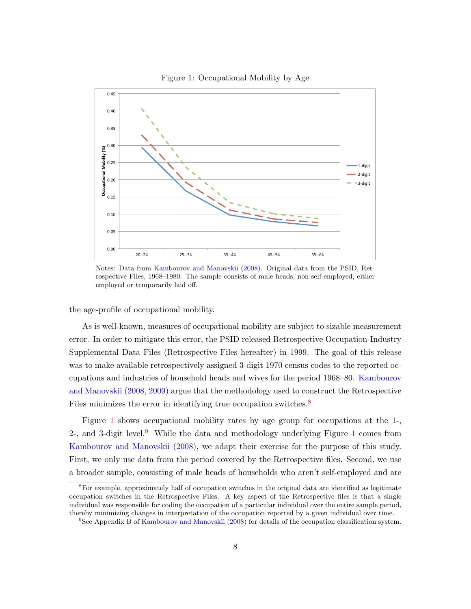

<span id="page-8-0"></span>Figure 1: Occupational Mobility by Age

Notes: Data from [Kambourov and Manovskii](#page-32-8) [\(2008\)](#page-32-8). Original data from the PSID, Retrospective Files, 1968–1980. The sample consists of male heads, non-self-employed, either employed or temporarily laid off.

the age-profile of occupational mobility.

As is well-known, measures of occupational mobility are subject to sizable measurement error. In order to mitigate this error, the PSID released Retrospective Occupation-Industry Supplemental Data Files (Retrospective Files hereafter) in 1999. The goal of this release was to make available retrospectively assigned 3-digit 1970 census codes to the reported occupations and industries of household heads and wives for the period 1968–80. [Kambourov](#page-32-8) [and Manovskii](#page-32-8) [\(2008,](#page-32-8) [2009\)](#page-32-4) argue that the methodology used to construct the Retrospective Files minimizes the error in identifying true occupation switches. $8$ 

Figure [1](#page-8-0) shows occupational mobility rates by age group for occupations at the 1-, 2-, and 3-digit level.<sup>[9](#page--1-0)</sup> While the data and methodology underlying Figure [1](#page-8-0) comes from [Kambourov and Manovskii](#page-32-8) [\(2008\)](#page-32-8), we adapt their exercise for the purpose of this study. First, we only use data from the period covered by the Retrospective files. Second, we use a broader sample, consisting of male heads of households who aren't self-employed and are

<sup>&</sup>lt;sup>8</sup>For example, approximately half of occupation switches in the original data are identified as legitimate occupation switches in the Retrospective Files. A key aspect of the Retrospective files is that a single individual was responsible for coding the occupation of a particular individual over the entire sample period, thereby minimizing changes in interpretation of the occupation reported by a given individual over time.

<sup>9</sup>See Appendix B of [Kambourov and Manovskii](#page-32-8) [\(2008\)](#page-32-8) for details of the occupation classification system.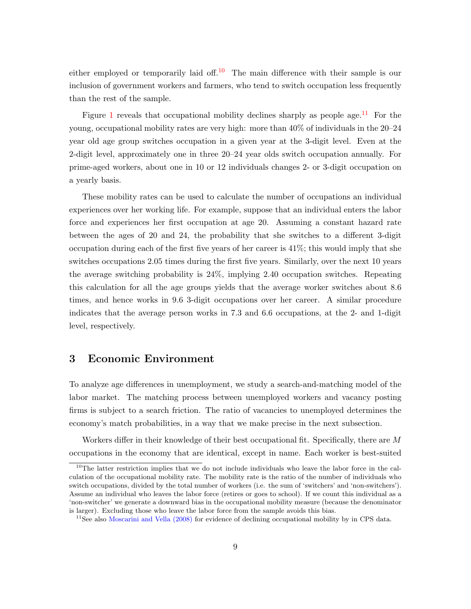either employed or temporarily laid off.<sup>[10](#page--1-0)</sup> The main difference with their sample is our inclusion of government workers and farmers, who tend to switch occupation less frequently than the rest of the sample.

Figure [1](#page-8-0) reveals that occupational mobility declines sharply as people age.<sup>[11](#page--1-0)</sup> For the young, occupational mobility rates are very high: more than 40% of individuals in the 20–24 year old age group switches occupation in a given year at the 3-digit level. Even at the 2-digit level, approximately one in three 20–24 year olds switch occupation annually. For prime-aged workers, about one in 10 or 12 individuals changes 2- or 3-digit occupation on a yearly basis.

These mobility rates can be used to calculate the number of occupations an individual experiences over her working life. For example, suppose that an individual enters the labor force and experiences her first occupation at age 20. Assuming a constant hazard rate between the ages of 20 and 24, the probability that she switches to a different 3-digit occupation during each of the first five years of her career is 41%; this would imply that she switches occupations 2.05 times during the first five years. Similarly, over the next 10 years the average switching probability is 24%, implying 2.40 occupation switches. Repeating this calculation for all the age groups yields that the average worker switches about 8.6 times, and hence works in 9.6 3-digit occupations over her career. A similar procedure indicates that the average person works in 7.3 and 6.6 occupations, at the 2- and 1-digit level, respectively.

## <span id="page-9-0"></span>3 Economic Environment

To analyze age differences in unemployment, we study a search-and-matching model of the labor market. The matching process between unemployed workers and vacancy posting firms is subject to a search friction. The ratio of vacancies to unemployed determines the economy's match probabilities, in a way that we make precise in the next subsection.

Workers differ in their knowledge of their best occupational fit. Specifically, there are M occupations in the economy that are identical, except in name. Each worker is best-suited

<sup>&</sup>lt;sup>10</sup>The latter restriction implies that we do not include individuals who leave the labor force in the calculation of the occupational mobility rate. The mobility rate is the ratio of the number of individuals who switch occupations, divided by the total number of workers (i.e. the sum of 'switchers' and 'non-switchers'). Assume an individual who leaves the labor force (retires or goes to school). If we count this individual as a 'non-switcher' we generate a downward bias in the occupational mobility measure (because the denominator is larger). Excluding those who leave the labor force from the sample avoids this bias.

 $11$ See also [Moscarini and Vella](#page-32-9) [\(2008\)](#page-32-9) for evidence of declining occupational mobility by in CPS data.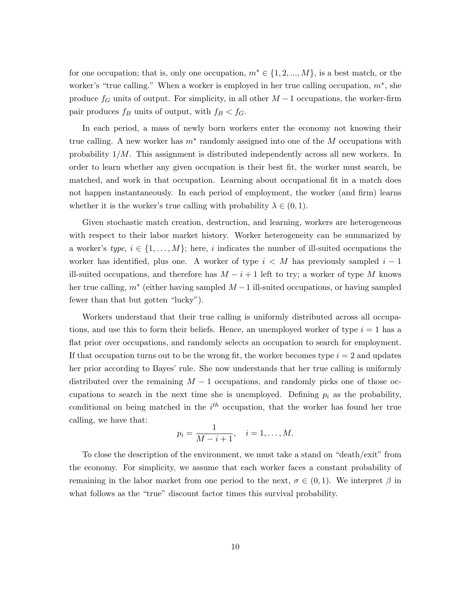for one occupation; that is, only one occupation,  $m^* \in \{1, 2, ..., M\}$ , is a best match, or the worker's "true calling." When a worker is employed in her true calling occupation,  $m^*$ , she produce  $f_G$  units of output. For simplicity, in all other  $M-1$  occupations, the worker-firm pair produces  $f_B$  units of output, with  $f_B < f_G$ .

In each period, a mass of newly born workers enter the economy not knowing their true calling. A new worker has  $m^*$  randomly assigned into one of the M occupations with probability 1/M. This assignment is distributed independently across all new workers. In order to learn whether any given occupation is their best fit, the worker must search, be matched, and work in that occupation. Learning about occupational fit in a match does not happen instantaneously. In each period of employment, the worker (and firm) learns whether it is the worker's true calling with probability  $\lambda \in (0,1)$ .

Given stochastic match creation, destruction, and learning, workers are heterogeneous with respect to their labor market history. Worker heterogeneity can be summarized by a worker's type,  $i \in \{1, \ldots, M\}$ ; here, i indicates the number of ill-suited occupations the worker has identified, plus one. A worker of type  $i < M$  has previously sampled  $i - 1$ ill-suited occupations, and therefore has  $M - i + 1$  left to try; a worker of type M knows her true calling,  $m^*$  (either having sampled  $M-1$  ill-suited occupations, or having sampled fewer than that but gotten "lucky").

Workers understand that their true calling is uniformly distributed across all occupations, and use this to form their beliefs. Hence, an unemployed worker of type  $i = 1$  has a flat prior over occupations, and randomly selects an occupation to search for employment. If that occupation turns out to be the wrong fit, the worker becomes type  $i = 2$  and updates her prior according to Bayes' rule. She now understands that her true calling is uniformly distributed over the remaining  $M - 1$  occupations, and randomly picks one of those occupations to search in the next time she is unemployed. Defining  $p_i$  as the probability, conditional on being matched in the  $i<sup>th</sup>$  occupation, that the worker has found her true calling, we have that:

$$
p_i = \frac{1}{M - i + 1}, \quad i = 1, ..., M.
$$

To close the description of the environment, we must take a stand on "death/exit" from the economy. For simplicity, we assume that each worker faces a constant probability of remaining in the labor market from one period to the next,  $\sigma \in (0,1)$ . We interpret  $\beta$  in what follows as the "true" discount factor times this survival probability.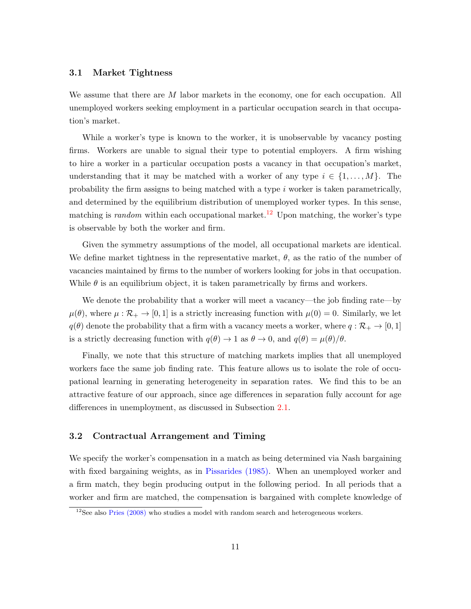#### 3.1 Market Tightness

We assume that there are M labor markets in the economy, one for each occupation. All unemployed workers seeking employment in a particular occupation search in that occupation's market.

While a worker's type is known to the worker, it is unobservable by vacancy posting firms. Workers are unable to signal their type to potential employers. A firm wishing to hire a worker in a particular occupation posts a vacancy in that occupation's market, understanding that it may be matched with a worker of any type  $i \in \{1, \ldots, M\}$ . The probability the firm assigns to being matched with a type  $i$  worker is taken parametrically, and determined by the equilibrium distribution of unemployed worker types. In this sense, matching is *random* within each occupational market.<sup>[12](#page--1-0)</sup> Upon matching, the worker's type is observable by both the worker and firm.

Given the symmetry assumptions of the model, all occupational markets are identical. We define market tightness in the representative market,  $\theta$ , as the ratio of the number of vacancies maintained by firms to the number of workers looking for jobs in that occupation. While  $\theta$  is an equilibrium object, it is taken parametrically by firms and workers.

We denote the probability that a worker will meet a vacancy—the job finding rate—by  $\mu(\theta)$ , where  $\mu : \mathcal{R}_+ \to [0, 1]$  is a strictly increasing function with  $\mu(0) = 0$ . Similarly, we let  $q(\theta)$  denote the probability that a firm with a vacancy meets a worker, where  $q: \mathcal{R}_+ \to [0,1]$ is a strictly decreasing function with  $q(\theta) \to 1$  as  $\theta \to 0$ , and  $q(\theta) = \mu(\theta)/\theta$ .

Finally, we note that this structure of matching markets implies that all unemployed workers face the same job finding rate. This feature allows us to isolate the role of occupational learning in generating heterogeneity in separation rates. We find this to be an attractive feature of our approach, since age differences in separation fully account for age differences in unemployment, as discussed in Subsection [2.1.](#page-5-2)

### 3.2 Contractual Arrangement and Timing

We specify the worker's compensation in a match as being determined via Nash bargaining with fixed bargaining weights, as in [Pissarides](#page-33-1) [\(1985\)](#page-33-1). When an unemployed worker and a firm match, they begin producing output in the following period. In all periods that a worker and firm are matched, the compensation is bargained with complete knowledge of

 $12$ See also [Pries](#page-33-5) [\(2008\)](#page-33-5) who studies a model with random search and heterogeneous workers.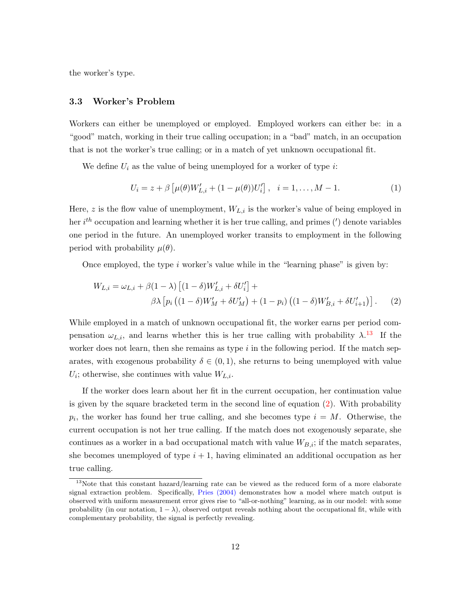the worker's type.

#### 3.3 Worker's Problem

Workers can either be unemployed or employed. Employed workers can either be: in a "good" match, working in their true calling occupation; in a "bad" match, in an occupation that is not the worker's true calling; or in a match of yet unknown occupational fit.

We define  $U_i$  as the value of being unemployed for a worker of type i:

<span id="page-12-0"></span>
$$
U_i = z + \beta \left[ \mu(\theta) W'_{L,i} + (1 - \mu(\theta)) U'_i \right], \quad i = 1, ..., M - 1.
$$
 (1)

Here,  $z$  is the flow value of unemployment,  $W_{L,i}$  is the worker's value of being employed in her  $i^{th}$  occupation and learning whether it is her true calling, and primes ( $'$ ) denote variables one period in the future. An unemployed worker transits to employment in the following period with probability  $\mu(\theta)$ .

Once employed, the type  $i$  worker's value while in the "learning phase" is given by:

$$
W_{L,i} = \omega_{L,i} + \beta(1 - \lambda) \left[ (1 - \delta)W'_{L,i} + \delta U'_i \right] +
$$
  

$$
\beta \lambda \left[ p_i \left( (1 - \delta)W'_M + \delta U'_M \right) + (1 - p_i) \left( (1 - \delta)W'_{B,i} + \delta U'_{i+1} \right) \right].
$$
 (2)

While employed in a match of unknown occupational fit, the worker earns per period compensation  $\omega_{L,i}$ , and learns whether this is her true calling with probability  $\lambda$ .<sup>[13](#page--1-0)</sup> If the worker does not learn, then she remains as type  $i$  in the following period. If the match separates, with exogenous probability  $\delta \in (0, 1)$ , she returns to being unemployed with value  $U_i$ ; otherwise, she continues with value  $W_{L,i}$ .

If the worker does learn about her fit in the current occupation, her continuation value is given by the square bracketed term in the second line of equation [\(2\)](#page-12-0). With probability  $p_i$ , the worker has found her true calling, and she becomes type  $i = M$ . Otherwise, the current occupation is not her true calling. If the match does not exogenously separate, she continues as a worker in a bad occupational match with value  $W_{B,i}$ ; if the match separates, she becomes unemployed of type  $i + 1$ , having eliminated an additional occupation as her true calling.

 $13$ Note that this constant hazard/learning rate can be viewed as the reduced form of a more elaborate signal extraction problem. Specifically, [Pries](#page-33-6) [\(2004\)](#page-33-6) demonstrates how a model where match output is observed with uniform measurement error gives rise to "all-or-nothing" learning, as in our model: with some probability (in our notation,  $1 - \lambda$ ), observed output reveals nothing about the occupational fit, while with complementary probability, the signal is perfectly revealing.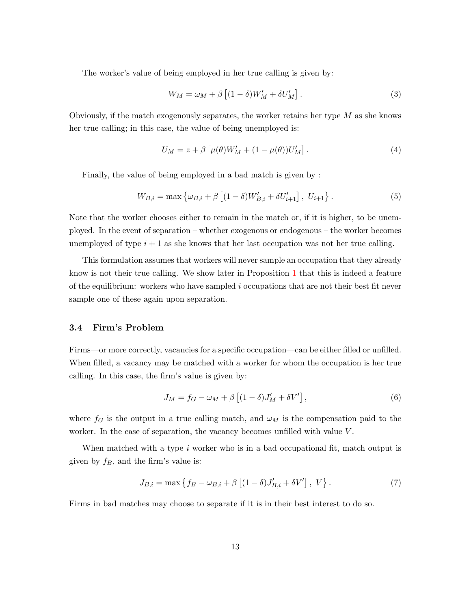The worker's value of being employed in her true calling is given by:

$$
W_M = \omega_M + \beta \left[ (1 - \delta) W'_M + \delta U'_M \right]. \tag{3}
$$

Obviously, if the match exogenously separates, the worker retains her type  $M$  as she knows her true calling; in this case, the value of being unemployed is:

$$
U_M = z + \beta \left[ \mu(\theta) W'_M + (1 - \mu(\theta)) U'_M \right]. \tag{4}
$$

Finally, the value of being employed in a bad match is given by :

<span id="page-13-0"></span>
$$
W_{B,i} = \max \left\{ \omega_{B,i} + \beta \left[ (1 - \delta) W'_{B,i} + \delta U'_{i+1} \right], U_{i+1} \right\}.
$$
 (5)

Note that the worker chooses either to remain in the match or, if it is higher, to be unemployed. In the event of separation – whether exogenous or endogenous – the worker becomes unemployed of type  $i + 1$  as she knows that her last occupation was not her true calling.

This formulation assumes that workers will never sample an occupation that they already know is not their true calling. We show later in Proposition [1](#page-16-0) that this is indeed a feature of the equilibrium: workers who have sampled  $i$  occupations that are not their best fit never sample one of these again upon separation.

#### 3.4 Firm's Problem

Firms—or more correctly, vacancies for a specific occupation—can be either filled or unfilled. When filled, a vacancy may be matched with a worker for whom the occupation is her true calling. In this case, the firm's value is given by:

$$
J_M = f_G - \omega_M + \beta \left[ (1 - \delta) J'_M + \delta V' \right],\tag{6}
$$

where  $f_G$  is the output in a true calling match, and  $\omega_M$  is the compensation paid to the worker. In the case of separation, the vacancy becomes unfilled with value V.

When matched with a type  $i$  worker who is in a bad occupational fit, match output is given by  $f_B$ , and the firm's value is:

$$
J_{B,i} = \max\left\{ f_B - \omega_{B,i} + \beta \left[ (1 - \delta) J'_{B,i} + \delta V' \right], V \right\}.
$$
 (7)

Firms in bad matches may choose to separate if it is in their best interest to do so.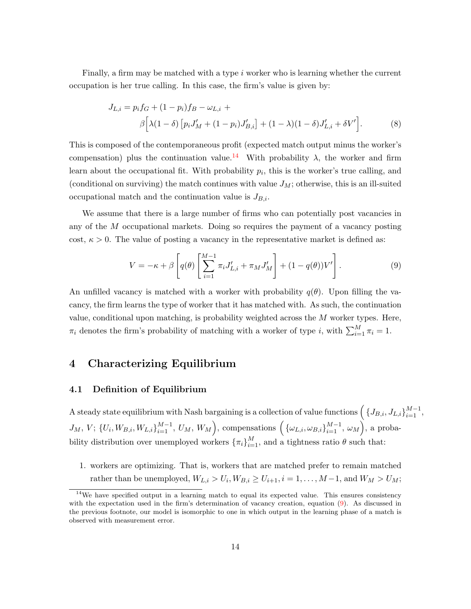Finally, a firm may be matched with a type i worker who is learning whether the current occupation is her true calling. In this case, the firm's value is given by:

$$
J_{L,i} = p_i f_G + (1 - p_i) f_B - \omega_{L,i} +
$$
  
\n
$$
\beta \left[ \lambda (1 - \delta) \left[ p_i J'_M + (1 - p_i) J'_{B,i} \right] + (1 - \lambda)(1 - \delta) J'_{L,i} + \delta V' \right].
$$
\n(8)

This is composed of the contemporaneous profit (expected match output minus the worker's compensation) plus the continuation value.<sup>[14](#page--1-0)</sup> With probability  $\lambda$ , the worker and firm learn about the occupational fit. With probability  $p_i$ , this is the worker's true calling, and (conditional on surviving) the match continues with value  $J_M$ ; otherwise, this is an ill-suited occupational match and the continuation value is  $J_{B,i}$ .

We assume that there is a large number of firms who can potentially post vacancies in any of the M occupational markets. Doing so requires the payment of a vacancy posting cost,  $\kappa > 0$ . The value of posting a vacancy in the representative market is defined as:

<span id="page-14-1"></span>
$$
V = -\kappa + \beta \left[ q(\theta) \left[ \sum_{i=1}^{M-1} \pi_i J'_{L,i} + \pi_M J'_M \right] + (1 - q(\theta)) V' \right]. \tag{9}
$$

An unfilled vacancy is matched with a worker with probability  $q(\theta)$ . Upon filling the vacancy, the firm learns the type of worker that it has matched with. As such, the continuation value, conditional upon matching, is probability weighted across the  $M$  worker types. Here,  $\pi_i$  denotes the firm's probability of matching with a worker of type *i*, with  $\sum_{i=1}^{M} \pi_i = 1$ .

## <span id="page-14-0"></span>4 Characterizing Equilibrium

#### 4.1 Definition of Equilibrium

A steady state equilibrium with Nash bargaining is a collection of value functions  $\left(\, \{J_{B,i},J_{L,i}\}_{i=1}^{M-1},\right.$  $J_M, V; \{U_i, W_{B,i}, W_{L,i}\}_{i=1}^{M-1}, U_M, W_M\Big)$ , compensations  $\Big(\{\omega_{L,i}, \omega_{B,i}\}_{i=1}^{M-1}, \omega_M\Big)$ , a probability distribution over unemployed workers  $\{\pi_i\}_{i=1}^M$ , and a tightness ratio  $\theta$  such that:

1. workers are optimizing. That is, workers that are matched prefer to remain matched rather than be unemployed,  $W_{L,i} > U_i, W_{B,i} \ge U_{i+1}, i = 1, \ldots, M-1$ , and  $W_M > U_M$ ;

 $14$ We have specified output in a learning match to equal its expected value. This ensures consistency with the expectation used in the firm's determination of vacancy creation, equation [\(9\)](#page-14-1). As discussed in the previous footnote, our model is isomorphic to one in which output in the learning phase of a match is observed with measurement error.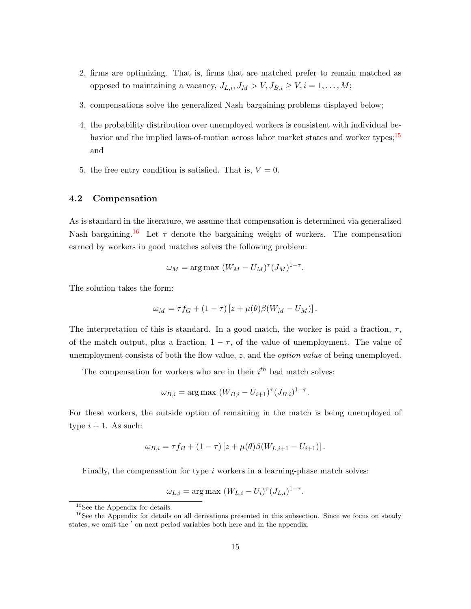- 2. firms are optimizing. That is, firms that are matched prefer to remain matched as opposed to maintaining a vacancy,  $J_{L,i}$ ,  $J_M > V$ ,  $J_{B,i} \geq V$ ,  $i = 1, ..., M$ ;
- 3. compensations solve the generalized Nash bargaining problems displayed below;
- 4. the probability distribution over unemployed workers is consistent with individual be-havior and the implied laws-of-motion across labor market states and worker types;<sup>[15](#page--1-0)</sup> and
- 5. the free entry condition is satisfied. That is,  $V = 0$ .

#### <span id="page-15-0"></span>4.2 Compensation

As is standard in the literature, we assume that compensation is determined via generalized Nash bargaining.<sup>[16](#page--1-0)</sup> Let  $\tau$  denote the bargaining weight of workers. The compensation earned by workers in good matches solves the following problem:

$$
\omega_M = \arg \max (W_M - U_M)^{\tau} (J_M)^{1-\tau}.
$$

The solution takes the form:

$$
\omega_M = \tau f_G + (1 - \tau) \left[ z + \mu(\theta) \beta (W_M - U_M) \right].
$$

The interpretation of this is standard. In a good match, the worker is paid a fraction,  $\tau$ , of the match output, plus a fraction,  $1 - \tau$ , of the value of unemployment. The value of unemployment consists of both the flow value, z, and the *option value* of being unemployed.

The compensation for workers who are in their  $i^{th}$  bad match solves:

$$
\omega_{B,i} = \arg \max (W_{B,i} - U_{i+1})^{\tau} (J_{B,i})^{1-\tau}.
$$

For these workers, the outside option of remaining in the match is being unemployed of type  $i + 1$ . As such:

$$
\omega_{B,i} = \tau f_B + (1 - \tau) \left[ z + \mu(\theta) \beta (W_{L,i+1} - U_{i+1}) \right].
$$

Finally, the compensation for type i workers in a learning-phase match solves:

$$
\omega_{L,i} = \arg \max \left( W_{L,i} - U_i \right)^\tau (J_{L,i})^{1-\tau}.
$$

<sup>&</sup>lt;sup>15</sup>See the Appendix for details.

<sup>&</sup>lt;sup>16</sup>See the Appendix for details on all derivations presented in this subsection. Since we focus on steady states, we omit the ' on next period variables both here and in the appendix.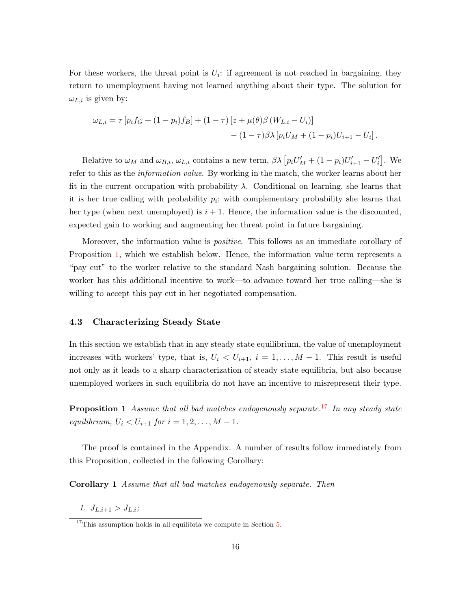For these workers, the threat point is  $U_i$ : if agreement is not reached in bargaining, they return to unemployment having not learned anything about their type. The solution for  $\omega_{L,i}$  is given by:

$$
\omega_{L,i} = \tau \left[ p_i f_G + (1 - p_i) f_B \right] + (1 - \tau) \left[ z + \mu(\theta) \beta \left( W_{L,i} - U_i \right) \right] - (1 - \tau) \beta \lambda \left[ p_i U_M + (1 - p_i) U_{i+1} - U_i \right].
$$

Relative to  $\omega_M$  and  $\omega_{B,i}$ ,  $\omega_{L,i}$  contains a new term,  $\beta \lambda \left[ p_i U_M' + (1-p_i)U_{i+1}' - U_i' \right]$ . We refer to this as the *information value*. By working in the match, the worker learns about her fit in the current occupation with probability  $\lambda$ . Conditional on learning, she learns that it is her true calling with probability  $p_i$ ; with complementary probability she learns that her type (when next unemployed) is  $i + 1$ . Hence, the information value is the discounted, expected gain to working and augmenting her threat point in future bargaining.

Moreover, the information value is *positive*. This follows as an immediate corollary of Proposition [1,](#page-16-0) which we establish below. Hence, the information value term represents a "pay cut" to the worker relative to the standard Nash bargaining solution. Because the worker has this additional incentive to work—to advance toward her true calling—she is willing to accept this pay cut in her negotiated compensation.

#### 4.3 Characterizing Steady State

In this section we establish that in any steady state equilibrium, the value of unemployment increases with workers' type, that is,  $U_i < U_{i+1}$ ,  $i = 1, ..., M - 1$ . This result is useful not only as it leads to a sharp characterization of steady state equilibria, but also because unemployed workers in such equilibria do not have an incentive to misrepresent their type.

<span id="page-16-0"></span>**Proposition 1** Assume that all bad matches endogenously separate.<sup>[17](#page--1-0)</sup> In any steady state equilibrium,  $U_i < U_{i+1}$  for  $i = 1, 2, ..., M - 1$ .

The proof is contained in the Appendix. A number of results follow immediately from this Proposition, collected in the following Corollary:

Corollary 1 Assume that all bad matches endogenously separate. Then

1.  $J_{L,i+1} > J_{L,i};$ 

 $17$ This assumption holds in all equilibria we compute in Section [5.](#page-17-0)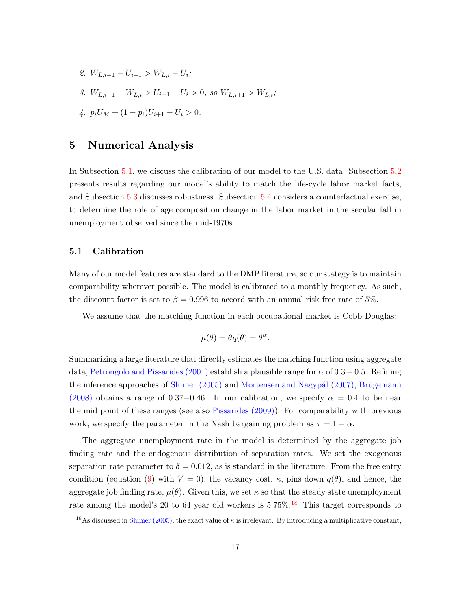2.  $W_{L,i+1} - U_{i+1} > W_{L,i} - U_i;$ 3.  $W_{L,i+1} - W_{L,i} > U_{i+1} - U_i > 0$ , so  $W_{L,i+1} > W_{L,i}$ ; 4.  $p_i U_M + (1 - p_i)U_{i+1} - U_i > 0.$ 

## <span id="page-17-0"></span>5 Numerical Analysis

In Subsection [5.1,](#page-17-1) we discuss the calibration of our model to the U.S. data. Subsection [5.2](#page-19-0) presents results regarding our model's ability to match the life-cycle labor market facts, and Subsection [5.3](#page-21-0) discusses robustness. Subsection [5.4](#page-23-0) considers a counterfactual exercise, to determine the role of age composition change in the labor market in the secular fall in unemployment observed since the mid-1970s.

#### <span id="page-17-1"></span>5.1 Calibration

Many of our model features are standard to the DMP literature, so our stategy is to maintain comparability wherever possible. The model is calibrated to a monthly frequency. As such, the discount factor is set to  $\beta = 0.996$  to accord with an annual risk free rate of 5%.

We assume that the matching function in each occupational market is Cobb-Douglas:

$$
\mu(\theta) = \theta q(\theta) = \theta^{\alpha}.
$$

Summarizing a large literature that directly estimates the matching function using aggregate data, [Petrongolo and Pissarides](#page-33-7) [\(2001\)](#page-33-7) establish a plausible range for  $\alpha$  of 0.3 – 0.5. Refining the inference approaches of [Shimer](#page-33-3) [\(2005\)](#page-33-3) and Mortensen and Nagypál [\(2007\)](#page-32-10), Brügemann [\(2008\)](#page-32-11) obtains a range of 0.37–0.46. In our calibration, we specify  $\alpha = 0.4$  to be near the mid point of these ranges (see also [Pissarides](#page-33-8) [\(2009\)](#page-33-8)). For comparability with previous work, we specify the parameter in the Nash bargaining problem as  $\tau = 1 - \alpha$ .

The aggregate unemployment rate in the model is determined by the aggregate job finding rate and the endogenous distribution of separation rates. We set the exogenous separation rate parameter to  $\delta = 0.012$ , as is standard in the literature. From the free entry condition (equation [\(9\)](#page-14-1) with  $V = 0$ ), the vacancy cost,  $\kappa$ , pins down  $q(\theta)$ , and hence, the aggregate job finding rate,  $\mu(\theta)$ . Given this, we set  $\kappa$  so that the steady state unemployment rate among the model's 20 to 64 year old workers is  $5.75\%$ .<sup>[18](#page--1-0)</sup> This target corresponds to

<sup>&</sup>lt;sup>18</sup>As discussed in [Shimer](#page-33-3) [\(2005\)](#page-33-3), the exact value of  $\kappa$  is irrelevant. By introducing a multiplicative constant,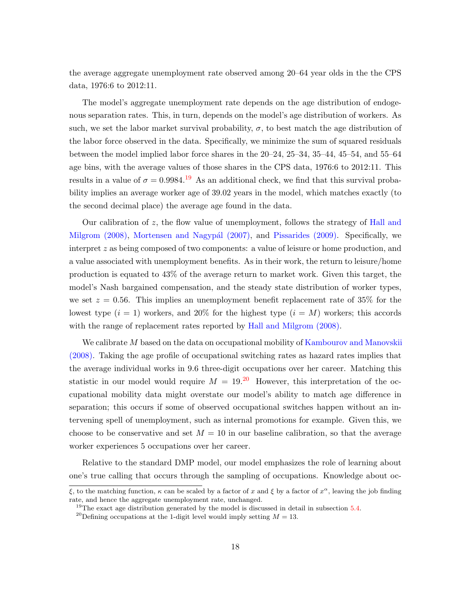the average aggregate unemployment rate observed among 20–64 year olds in the the CPS data, 1976:6 to 2012:11.

The model's aggregate unemployment rate depends on the age distribution of endogenous separation rates. This, in turn, depends on the model's age distribution of workers. As such, we set the labor market survival probability,  $\sigma$ , to best match the age distribution of the labor force observed in the data. Specifically, we minimize the sum of squared residuals between the model implied labor force shares in the 20–24, 25–34, 35–44, 45–54, and 55–64 age bins, with the average values of those shares in the CPS data, 1976:6 to 2012:11. This results in a value of  $\sigma = 0.9984$ .<sup>[19](#page--1-0)</sup> As an additional check, we find that this survival probability implies an average worker age of 39.02 years in the model, which matches exactly (to the second decimal place) the average age found in the data.

Our calibration of z, the flow value of unemployment, follows the strategy of [Hall and](#page-32-12) [Milgrom](#page-32-12) [\(2008\)](#page-32-12), Mortensen and Nagypál [\(2007\)](#page-32-10), and [Pissarides](#page-33-8) [\(2009\)](#page-33-8). Specifically, we interpret z as being composed of two components: a value of leisure or home production, and a value associated with unemployment benefits. As in their work, the return to leisure/home production is equated to 43% of the average return to market work. Given this target, the model's Nash bargained compensation, and the steady state distribution of worker types, we set  $z = 0.56$ . This implies an unemployment benefit replacement rate of 35% for the lowest type  $(i = 1)$  workers, and 20% for the highest type  $(i = M)$  workers; this accords with the range of replacement rates reported by [Hall and Milgrom](#page-32-12) [\(2008\)](#page-32-12).

We calibrate M based on the data on occupational mobility of [Kambourov and Manovskii](#page-32-8) [\(2008\)](#page-32-8). Taking the age profile of occupational switching rates as hazard rates implies that the average individual works in 9.6 three-digit occupations over her career. Matching this statistic in our model would require  $M = 19^{20}$  $M = 19^{20}$  $M = 19^{20}$  However, this interpretation of the occupational mobility data might overstate our model's ability to match age difference in separation; this occurs if some of observed occupational switches happen without an intervening spell of unemployment, such as internal promotions for example. Given this, we choose to be conservative and set  $M = 10$  in our baseline calibration, so that the average worker experiences 5 occupations over her career.

Relative to the standard DMP model, our model emphasizes the role of learning about one's true calling that occurs through the sampling of occupations. Knowledge about oc-

ξ, to the matching function, κ can be scaled by a factor of x and ξ by a factor of  $x^{\alpha}$ , leaving the job finding rate, and hence the aggregate unemployment rate, unchanged.

<sup>&</sup>lt;sup>19</sup>The exact age distribution generated by the model is discussed in detail in subsection  $5.4$ .

<sup>&</sup>lt;sup>20</sup>Defining occupations at the 1-digit level would imply setting  $M = 13$ .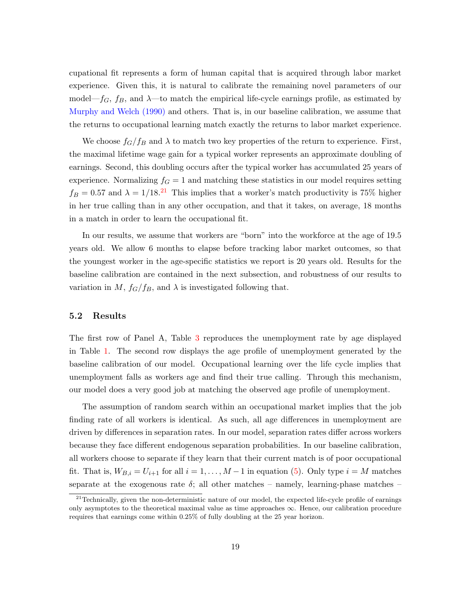cupational fit represents a form of human capital that is acquired through labor market experience. Given this, it is natural to calibrate the remaining novel parameters of our model— $f_G$ ,  $f_B$ , and  $\lambda$ —to match the empirical life-cycle earnings profile, as estimated by [Murphy and Welch](#page-32-13) [\(1990\)](#page-32-13) and others. That is, in our baseline calibration, we assume that the returns to occupational learning match exactly the returns to labor market experience.

We choose  $f_G/f_B$  and  $\lambda$  to match two key properties of the return to experience. First, the maximal lifetime wage gain for a typical worker represents an approximate doubling of earnings. Second, this doubling occurs after the typical worker has accumulated 25 years of experience. Normalizing  $f<sub>G</sub> = 1$  and matching these statistics in our model requires setting  $f_B = 0.57$  and  $\lambda = 1/18^{21}$  $\lambda = 1/18^{21}$  $\lambda = 1/18^{21}$  This implies that a worker's match productivity is 75% higher in her true calling than in any other occupation, and that it takes, on average, 18 months in a match in order to learn the occupational fit.

In our results, we assume that workers are "born" into the workforce at the age of 19.5 years old. We allow 6 months to elapse before tracking labor market outcomes, so that the youngest worker in the age-specific statistics we report is 20 years old. Results for the baseline calibration are contained in the next subsection, and robustness of our results to variation in M,  $f_G/f_B$ , and  $\lambda$  is investigated following that.

#### <span id="page-19-0"></span>5.2 Results

The first row of Panel A, Table [3](#page-20-0) reproduces the unemployment rate by age displayed in Table [1.](#page-5-1) The second row displays the age profile of unemployment generated by the baseline calibration of our model. Occupational learning over the life cycle implies that unemployment falls as workers age and find their true calling. Through this mechanism, our model does a very good job at matching the observed age profile of unemployment.

The assumption of random search within an occupational market implies that the job finding rate of all workers is identical. As such, all age differences in unemployment are driven by differences in separation rates. In our model, separation rates differ across workers because they face different endogenous separation probabilities. In our baseline calibration, all workers choose to separate if they learn that their current match is of poor occupational fit. That is,  $W_{B,i} = U_{i+1}$  for all  $i = 1, ..., M-1$  in equation [\(5\)](#page-13-0). Only type  $i = M$  matches separate at the exogenous rate  $\delta$ ; all other matches – namely, learning-phase matches –

 $21$ Technically, given the non-deterministic nature of our model, the expected life-cycle profile of earnings only asymptotes to the theoretical maximal value as time approaches ∞. Hence, our calibration procedure requires that earnings come within 0.25% of fully doubling at the 25 year horizon.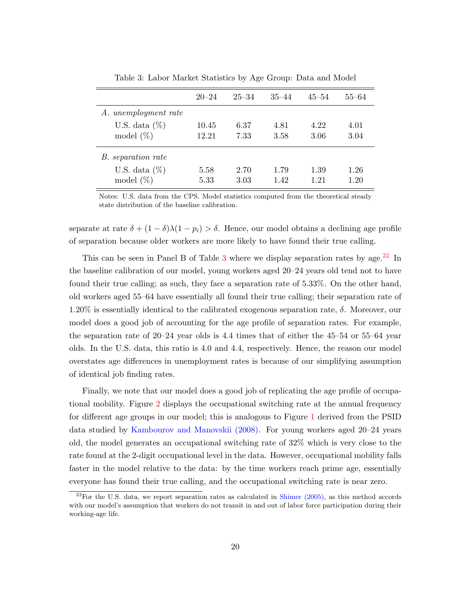|                      | $20 - 24$ | $25 - 34$ | $35 - 44$ | $45 - 54$ | $55 - 64$ |
|----------------------|-----------|-----------|-----------|-----------|-----------|
| A. unemployment rate |           |           |           |           |           |
| U.S. data $(\%)$     | 10.45     | 6.37      | 4.81      | 4.22      | 4.01      |
| model $(\%)$         | 12.21     | 7.33      | 3.58      | 3.06      | 3.04      |
| B. separation rate   |           |           |           |           |           |
| U.S. data $(\%)$     | 5.58      | 2.70      | 1.79      | 1.39      | 1.26      |
| model $(\%)$         | 5.33      | 3.03      | 1.42      | 1.21      | 1.20      |
|                      |           |           |           |           |           |

<span id="page-20-0"></span>Table 3: Labor Market Statistics by Age Group: Data and Model

Notes: U.S. data from the CPS. Model statistics computed from the theoretical steady state distribution of the baseline calibration.

separate at rate  $\delta + (1 - \delta)\lambda(1 - p_i) > \delta$ . Hence, our model obtains a declining age profile of separation because older workers are more likely to have found their true calling.

This can be seen in Panel B of Table [3](#page-20-0) where we display separation rates by age.<sup>[22](#page--1-0)</sup> In the baseline calibration of our model, young workers aged 20–24 years old tend not to have found their true calling; as such, they face a separation rate of 5.33%. On the other hand, old workers aged 55–64 have essentially all found their true calling; their separation rate of 1.20% is essentially identical to the calibrated exogenous separation rate,  $\delta$ . Moreover, our model does a good job of accounting for the age profile of separation rates. For example, the separation rate of 20–24 year olds is 4.4 times that of either the 45–54 or 55–64 year olds. In the U.S. data, this ratio is 4.0 and 4.4, respectively. Hence, the reason our model overstates age differences in unemployment rates is because of our simplifying assumption of identical job finding rates.

Finally, we note that our model does a good job of replicating the age profile of occupational mobility. Figure [2](#page-21-1) displays the occupational switching rate at the annual frequency for different age groups in our model; this is analogous to Figure [1](#page-8-0) derived from the PSID data studied by [Kambourov and Manovskii](#page-32-8) [\(2008\)](#page-32-8). For young workers aged 20–24 years old, the model generates an occupational switching rate of 32% which is very close to the rate found at the 2-digit occupational level in the data. However, occupational mobility falls faster in the model relative to the data: by the time workers reach prime age, essentially everyone has found their true calling, and the occupational switching rate is near zero.

 $2^{22}$ For the U.S. data, we report separation rates as calculated in [Shimer](#page-33-3) [\(2005\)](#page-33-3), as this method accords with our model's assumption that workers do not transit in and out of labor force participation during their working-age life.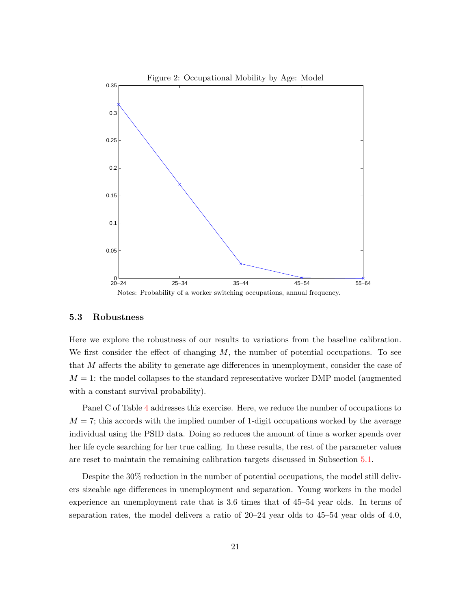<span id="page-21-1"></span>

Notes: Probability of a worker switching occupations, annual frequency.

### <span id="page-21-0"></span>5.3 Robustness

Here we explore the robustness of our results to variations from the baseline calibration. We first consider the effect of changing  $M$ , the number of potential occupations. To see that M affects the ability to generate age differences in unemployment, consider the case of  $M = 1$ : the model collapses to the standard representative worker DMP model (augmented with a constant survival probability).

Panel C of Table [4](#page-22-0) addresses this exercise. Here, we reduce the number of occupations to  $M = 7$ ; this accords with the implied number of 1-digit occupations worked by the average individual using the PSID data. Doing so reduces the amount of time a worker spends over her life cycle searching for her true calling. In these results, the rest of the parameter values are reset to maintain the remaining calibration targets discussed in Subsection [5.1.](#page-17-1)

Despite the 30% reduction in the number of potential occupations, the model still delivers sizeable age differences in unemployment and separation. Young workers in the model experience an unemployment rate that is 3.6 times that of 45–54 year olds. In terms of separation rates, the model delivers a ratio of 20–24 year olds to 45–54 year olds of 4.0,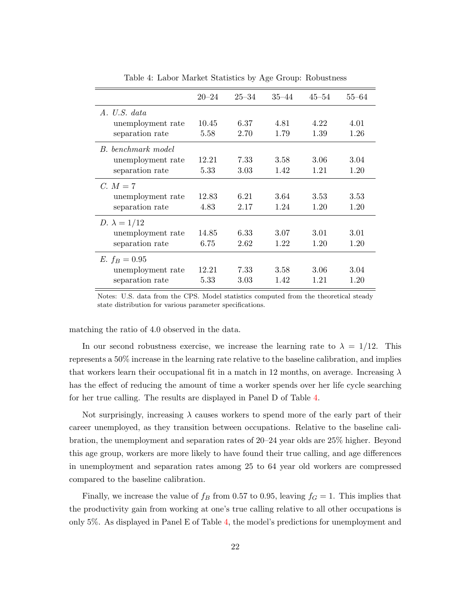|                            | $20 - 24$ | $25 - 34$ | $35 - 44$ | $45 - 54$ | $55 - 64$ |
|----------------------------|-----------|-----------|-----------|-----------|-----------|
| A. U.S. data               |           |           |           |           |           |
| unemployment rate          | 10.45     | 6.37      | 4.81      | 4.22      | 4.01      |
| separation rate            | 5.58      | 2.70      | 1.79      | 1.39      | 1.26      |
| B. benchmark model         |           |           |           |           |           |
| unemployment rate          | 12.21     | 7.33      | 3.58      | 3.06      | 3.04      |
| separation rate            | 5.33      | 3.03      | 1.42      | 1.21      | 1.20      |
| C. $M=7$                   |           |           |           |           |           |
| unemployment rate          | 12.83     | 6.21      | 3.64      | 3.53      | 3.53      |
| separation rate            | 4.83      | 2.17      | 1.24      | 1.20      | 1.20      |
| <i>D.</i> $\lambda = 1/12$ |           |           |           |           |           |
| unemployment rate          | 14.85     | 6.33      | 3.07      | 3.01      | 3.01      |
| separation rate            | 6.75      | 2.62      | 1.22      | 1.20      | 1.20      |
| E. $f_B = 0.95$            |           |           |           |           |           |
| unemployment rate          | 12.21     | 7.33      | 3.58      | 3.06      | 3.04      |
| separation rate            | 5.33      | 3.03      | 1.42      | 1.21      | 1.20      |
|                            |           |           |           |           |           |

<span id="page-22-0"></span>Table 4: Labor Market Statistics by Age Group: Robustness

Notes: U.S. data from the CPS. Model statistics computed from the theoretical steady state distribution for various parameter specifications.

matching the ratio of 4.0 observed in the data.

In our second robustness exercise, we increase the learning rate to  $\lambda = 1/12$ . This represents a 50% increase in the learning rate relative to the baseline calibration, and implies that workers learn their occupational fit in a match in 12 months, on average. Increasing  $\lambda$ has the effect of reducing the amount of time a worker spends over her life cycle searching for her true calling. The results are displayed in Panel D of Table [4.](#page-22-0)

Not surprisingly, increasing  $\lambda$  causes workers to spend more of the early part of their career unemployed, as they transition between occupations. Relative to the baseline calibration, the unemployment and separation rates of 20–24 year olds are 25% higher. Beyond this age group, workers are more likely to have found their true calling, and age differences in unemployment and separation rates among 25 to 64 year old workers are compressed compared to the baseline calibration.

Finally, we increase the value of  $f_B$  from 0.57 to 0.95, leaving  $f_G = 1$ . This implies that the productivity gain from working at one's true calling relative to all other occupations is only 5%. As displayed in Panel E of Table [4,](#page-22-0) the model's predictions for unemployment and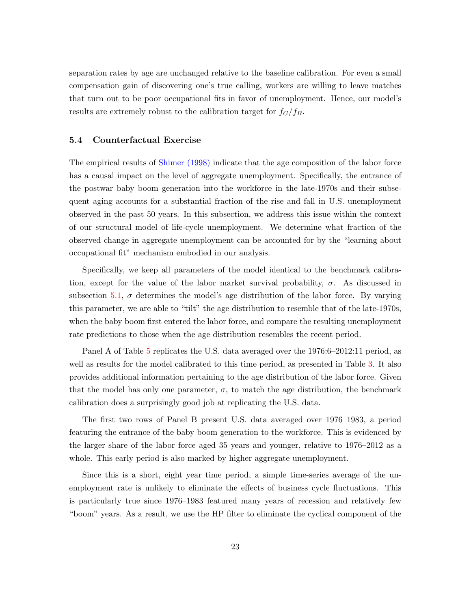separation rates by age are unchanged relative to the baseline calibration. For even a small compensation gain of discovering one's true calling, workers are willing to leave matches that turn out to be poor occupational fits in favor of unemployment. Hence, our model's results are extremely robust to the calibration target for  $f_G/f_B$ .

#### <span id="page-23-0"></span>5.4 Counterfactual Exercise

The empirical results of [Shimer](#page-33-0) [\(1998\)](#page-33-0) indicate that the age composition of the labor force has a causal impact on the level of aggregate unemployment. Specifically, the entrance of the postwar baby boom generation into the workforce in the late-1970s and their subsequent aging accounts for a substantial fraction of the rise and fall in U.S. unemployment observed in the past 50 years. In this subsection, we address this issue within the context of our structural model of life-cycle unemployment. We determine what fraction of the observed change in aggregate unemployment can be accounted for by the "learning about occupational fit" mechanism embodied in our analysis.

Specifically, we keep all parameters of the model identical to the benchmark calibration, except for the value of the labor market survival probability,  $\sigma$ . As discussed in subsection [5.1,](#page-17-1)  $\sigma$  determines the model's age distribution of the labor force. By varying this parameter, we are able to "tilt" the age distribution to resemble that of the late-1970s, when the baby boom first entered the labor force, and compare the resulting unemployment rate predictions to those when the age distribution resembles the recent period.

Panel A of Table [5](#page-24-0) replicates the U.S. data averaged over the 1976:6–2012:11 period, as well as results for the model calibrated to this time period, as presented in Table [3.](#page-20-0) It also provides additional information pertaining to the age distribution of the labor force. Given that the model has only one parameter,  $\sigma$ , to match the age distribution, the benchmark calibration does a surprisingly good job at replicating the U.S. data.

The first two rows of Panel B present U.S. data averaged over 1976–1983, a period featuring the entrance of the baby boom generation to the workforce. This is evidenced by the larger share of the labor force aged 35 years and younger, relative to 1976–2012 as a whole. This early period is also marked by higher aggregate unemployment.

Since this is a short, eight year time period, a simple time-series average of the unemployment rate is unlikely to eliminate the effects of business cycle fluctuations. This is particularly true since 1976–1983 featured many years of recession and relatively few "boom" years. As a result, we use the HP filter to eliminate the cyclical component of the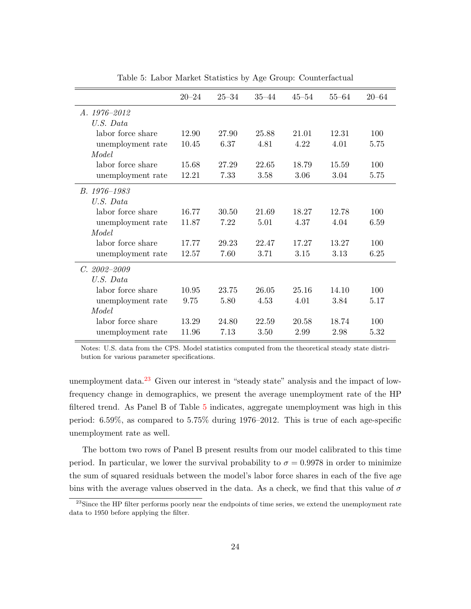|                   | $20 - 24$ | $25 - 34$ | $35 - 44$ | $45 - 54$ | $55 - 64$ | $20 - 64$ |
|-------------------|-----------|-----------|-----------|-----------|-----------|-----------|
| A. 1976-2012      |           |           |           |           |           |           |
| U.S. Data         |           |           |           |           |           |           |
| labor force share | 12.90     | 27.90     | 25.88     | 21.01     | 12.31     | 100       |
| unemployment rate | 10.45     | 6.37      | 4.81      | 4.22      | 4.01      | 5.75      |
| Model             |           |           |           |           |           |           |
| labor force share | 15.68     | 27.29     | 22.65     | 18.79     | 15.59     | 100       |
| unemployment rate | 12.21     | 7.33      | 3.58      | 3.06      | 3.04      | 5.75      |
| B. 1976-1983      |           |           |           |           |           |           |
| U.S. Data         |           |           |           |           |           |           |
| labor force share | 16.77     | 30.50     | 21.69     | 18.27     | 12.78     | 100       |
| unemployment rate | 11.87     | 7.22      | 5.01      | 4.37      | 4.04      | 6.59      |
| Model             |           |           |           |           |           |           |
| labor force share | 17.77     | 29.23     | 22.47     | 17.27     | 13.27     | 100       |
| unemployment rate | 12.57     | 7.60      | 3.71      | 3.15      | 3.13      | 6.25      |
| $C.~2002 - 2009$  |           |           |           |           |           |           |
| U.S. Data         |           |           |           |           |           |           |
| labor force share | 10.95     | 23.75     | 26.05     | 25.16     | 14.10     | 100       |
| unemployment rate | 9.75      | 5.80      | 4.53      | 4.01      | 3.84      | 5.17      |
| Model             |           |           |           |           |           |           |
| labor force share | 13.29     | 24.80     | 22.59     | 20.58     | 18.74     | 100       |
| unemployment rate | 11.96     | 7.13      | 3.50      | 2.99      | 2.98      | 5.32      |

<span id="page-24-0"></span>Table 5: Labor Market Statistics by Age Group: Counterfactual

Notes: U.S. data from the CPS. Model statistics computed from the theoretical steady state distribution for various parameter specifications.

unemployment data.<sup>[23](#page--1-0)</sup> Given our interest in "steady state" analysis and the impact of lowfrequency change in demographics, we present the average unemployment rate of the HP filtered trend. As Panel B of Table [5](#page-24-0) indicates, aggregate unemployment was high in this period: 6.59%, as compared to 5.75% during 1976–2012. This is true of each age-specific unemployment rate as well.

The bottom two rows of Panel B present results from our model calibrated to this time period. In particular, we lower the survival probability to  $\sigma = 0.9978$  in order to minimize the sum of squared residuals between the model's labor force shares in each of the five age bins with the average values observed in the data. As a check, we find that this value of  $\sigma$ 

<sup>&</sup>lt;sup>23</sup>Since the HP filter performs poorly near the endpoints of time series, we extend the unemployment rate data to 1950 before applying the filter.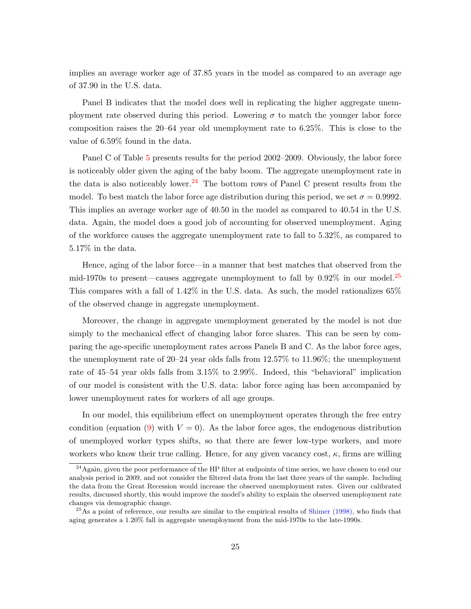implies an average worker age of 37.85 years in the model as compared to an average age of 37.90 in the U.S. data.

Panel B indicates that the model does well in replicating the higher aggregate unemployment rate observed during this period. Lowering  $\sigma$  to match the younger labor force composition raises the 20–64 year old unemployment rate to 6.25%. This is close to the value of 6.59% found in the data.

Panel C of Table [5](#page-24-0) presents results for the period 2002–2009. Obviously, the labor force is noticeably older given the aging of the baby boom. The aggregate unemployment rate in the data is also noticeably lower.<sup>[24](#page--1-0)</sup> The bottom rows of Panel C present results from the model. To best match the labor force age distribution during this period, we set  $\sigma = 0.9992$ . This implies an average worker age of 40.50 in the model as compared to 40.54 in the U.S. data. Again, the model does a good job of accounting for observed unemployment. Aging of the workforce causes the aggregate unemployment rate to fall to 5.32%, as compared to 5.17% in the data.

Hence, aging of the labor force—in a manner that best matches that observed from the mid-1970s to present—causes aggregate unemployment to fall by  $0.92\%$  in our model.<sup>[25](#page--1-0)</sup> This compares with a fall of 1.42% in the U.S. data. As such, the model rationalizes 65% of the observed change in aggregate unemployment.

Moreover, the change in aggregate unemployment generated by the model is not due simply to the mechanical effect of changing labor force shares. This can be seen by comparing the age-specific unemployment rates across Panels B and C. As the labor force ages, the unemployment rate of 20–24 year olds falls from 12.57% to 11.96%; the unemployment rate of 45–54 year olds falls from 3.15% to 2.99%. Indeed, this "behavioral" implication of our model is consistent with the U.S. data: labor force aging has been accompanied by lower unemployment rates for workers of all age groups.

In our model, this equilibrium effect on unemployment operates through the free entry condition (equation [\(9\)](#page-14-1) with  $V = 0$ ). As the labor force ages, the endogenous distribution of unemployed worker types shifts, so that there are fewer low-type workers, and more workers who know their true calling. Hence, for any given vacancy cost,  $\kappa$ , firms are willing

 $^{24}$ Again, given the poor performance of the HP filter at endpoints of time series, we have chosen to end our analysis period in 2009, and not consider the filtered data from the last three years of the sample. Including the data from the Great Recession would increase the observed unemployment rates. Given our calibrated results, discussed shortly, this would improve the model's ability to explain the observed unemployment rate changes via demographic change.

 $^{25}$ As a point of reference, our results are similar to the empirical results of [Shimer](#page-33-0) [\(1998\)](#page-33-0), who finds that aging generates a 1.20% fall in aggregate unemployment from the mid-1970s to the late-1990s.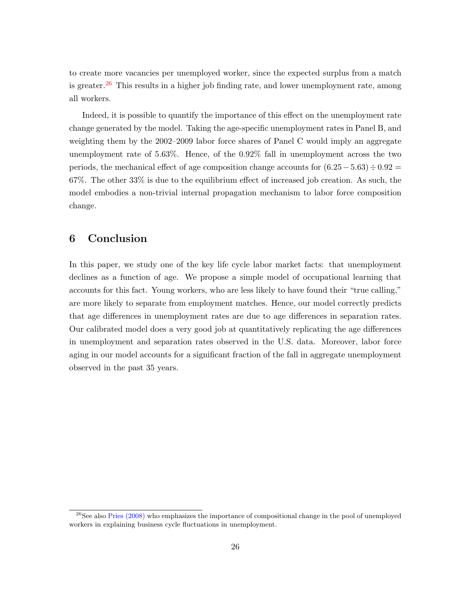to create more vacancies per unemployed worker, since the expected surplus from a match is greater. $26$  This results in a higher job finding rate, and lower unemployment rate, among all workers.

Indeed, it is possible to quantify the importance of this effect on the unemployment rate change generated by the model. Taking the age-specific unemployment rates in Panel B, and weighting them by the 2002–2009 labor force shares of Panel C would imply an aggregate unemployment rate of 5.63%. Hence, of the 0.92% fall in unemployment across the two periods, the mechanical effect of age composition change accounts for  $(6.25-5.63) \div 0.92 =$ 67%. The other 33% is due to the equilibrium effect of increased job creation. As such, the model embodies a non-trivial internal propagation mechanism to labor force composition change.

# 6 Conclusion

In this paper, we study one of the key life cycle labor market facts: that unemployment declines as a function of age. We propose a simple model of occupational learning that accounts for this fact. Young workers, who are less likely to have found their "true calling," are more likely to separate from employment matches. Hence, our model correctly predicts that age differences in unemployment rates are due to age differences in separation rates. Our calibrated model does a very good job at quantitatively replicating the age differences in unemployment and separation rates observed in the U.S. data. Moreover, labor force aging in our model accounts for a significant fraction of the fall in aggregate unemployment observed in the past 35 years.

<sup>&</sup>lt;sup>26</sup>See also [Pries](#page-33-5) [\(2008\)](#page-33-5) who emphasizes the importance of compositional change in the pool of unemployed workers in explaining business cycle fluctuations in unemployment.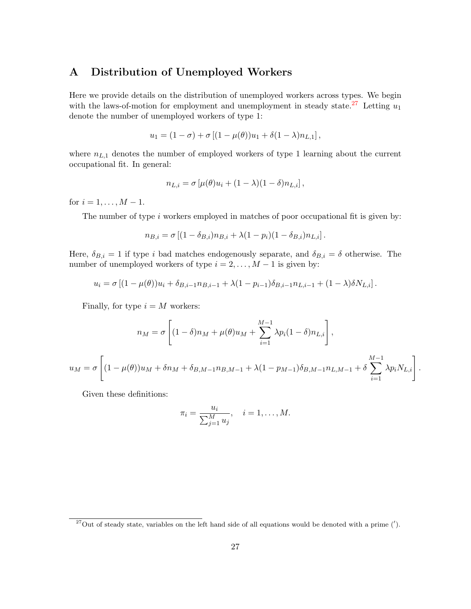## A Distribution of Unemployed Workers

Here we provide details on the distribution of unemployed workers across types. We begin with the laws-of-motion for employment and unemployment in steady state.<sup>[27](#page--1-0)</sup> Letting  $u_1$ denote the number of unemployed workers of type 1:

$$
u_1 = (1 - \sigma) + \sigma [(1 - \mu(\theta))u_1 + \delta(1 - \lambda)n_{L,1}],
$$

where  $n_{L,1}$  denotes the number of employed workers of type 1 learning about the current occupational fit. In general:

$$
n_{L,i} = \sigma \left[ \mu(\theta) u_i + (1 - \lambda)(1 - \delta) n_{L,i} \right],
$$

for  $i = 1, ..., M - 1$ .

The number of type  $i$  workers employed in matches of poor occupational fit is given by:

$$
n_{B,i} = \sigma [(1 - \delta_{B,i}) n_{B,i} + \lambda (1 - p_i)(1 - \delta_{B,i}) n_{L,i}].
$$

Here,  $\delta_{B,i} = 1$  if type i bad matches endogenously separate, and  $\delta_{B,i} = \delta$  otherwise. The number of unemployed workers of type  $i = 2, \ldots, M - 1$  is given by:

$$
u_i = \sigma \left[ (1 - \mu(\theta))u_i + \delta_{B,i-1}n_{B,i-1} + \lambda(1 - p_{i-1})\delta_{B,i-1}n_{L,i-1} + (1 - \lambda)\delta N_{L,i} \right].
$$

Finally, for type  $i = M$  workers:

$$
n_M = \sigma \left[ (1 - \delta)n_M + \mu(\theta)u_M + \sum_{i=1}^{M-1} \lambda p_i (1 - \delta)n_{L,i} \right],
$$
  

$$
u_M = \sigma \left[ (1 - \mu(\theta))u_M + \delta n_M + \delta_{B,M-1}n_{B,M-1} + \lambda(1 - p_{M-1})\delta_{B,M-1}n_{L,M-1} + \delta \sum_{i=1}^{M-1} \lambda p_i N_{L,i} \right]
$$

.

Given these definitions:

$$
\pi_i = \frac{u_i}{\sum_{j=1}^M u_j}, \quad i = 1, \dots, M.
$$

<sup>&</sup>lt;sup>27</sup>Out of steady state, variables on the left hand side of all equations would be denoted with a prime  $'$ .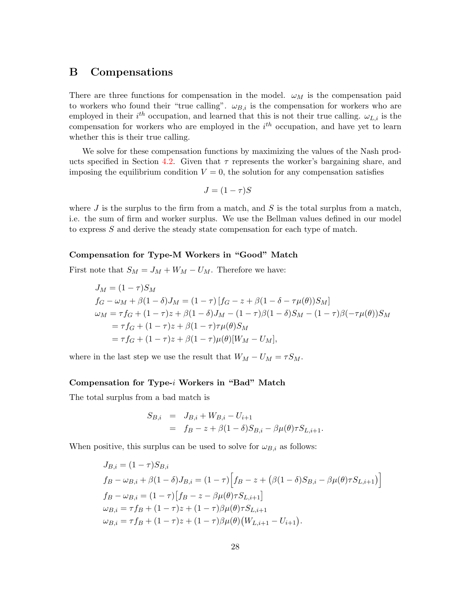# B Compensations

There are three functions for compensation in the model.  $\omega_M$  is the compensation paid to workers who found their "true calling".  $\omega_{B,i}$  is the compensation for workers who are employed in their  $i^{th}$  occupation, and learned that this is not their true calling.  $\omega_{L,i}$  is the compensation for workers who are employed in the  $i<sup>th</sup>$  occupation, and have yet to learn whether this is their true calling.

We solve for these compensation functions by maximizing the values of the Nash prod-ucts specified in Section [4.2.](#page-15-0) Given that  $\tau$  represents the worker's bargaining share, and imposing the equilibrium condition  $V = 0$ , the solution for any compensation satisfies

$$
J = (1 - \tau)S
$$

where J is the surplus to the firm from a match, and S is the total surplus from a match, i.e. the sum of firm and worker surplus. We use the Bellman values defined in our model to express S and derive the steady state compensation for each type of match.

#### Compensation for Type-M Workers in "Good" Match

First note that  $S_M = J_M + W_M - U_M$ . Therefore we have:

$$
J_M = (1 - \tau)S_M
$$
  
\n
$$
f_G - \omega_M + \beta(1 - \delta)J_M = (1 - \tau)[f_G - z + \beta(1 - \delta - \tau\mu(\theta))S_M]
$$
  
\n
$$
\omega_M = \tau f_G + (1 - \tau)z + \beta(1 - \delta)J_M - (1 - \tau)\beta(1 - \delta)S_M - (1 - \tau)\beta(-\tau\mu(\theta))S_M
$$
  
\n
$$
= \tau f_G + (1 - \tau)z + \beta(1 - \tau)\tau\mu(\theta)S_M
$$
  
\n
$$
= \tau f_G + (1 - \tau)z + \beta(1 - \tau)\mu(\theta)[W_M - U_M],
$$

where in the last step we use the result that  $W_M - U_M = \tau S_M$ .

#### Compensation for Type-i Workers in "Bad" Match

The total surplus from a bad match is

$$
S_{B,i} = J_{B,i} + W_{B,i} - U_{i+1}
$$
  
=  $f_B - z + \beta (1 - \delta) S_{B,i} - \beta \mu(\theta) \tau S_{L,i+1}$ 

When positive, this surplus can be used to solve for  $\omega_{B,i}$  as follows:

$$
J_{B,i} = (1 - \tau)S_{B,i}
$$
  
\n
$$
f_B - \omega_{B,i} + \beta(1 - \delta)J_{B,i} = (1 - \tau) \Big[ f_B - z + (\beta(1 - \delta)S_{B,i} - \beta\mu(\theta)\tau S_{L,i+1}) \Big]
$$
  
\n
$$
f_B - \omega_{B,i} = (1 - \tau) \Big[ f_B - z - \beta\mu(\theta)\tau S_{L,i+1} \Big]
$$
  
\n
$$
\omega_{B,i} = \tau f_B + (1 - \tau)z + (1 - \tau)\beta\mu(\theta)\tau S_{L,i+1}
$$
  
\n
$$
\omega_{B,i} = \tau f_B + (1 - \tau)z + (1 - \tau)\beta\mu(\theta) \big(W_{L,i+1} - U_{i+1}\big).
$$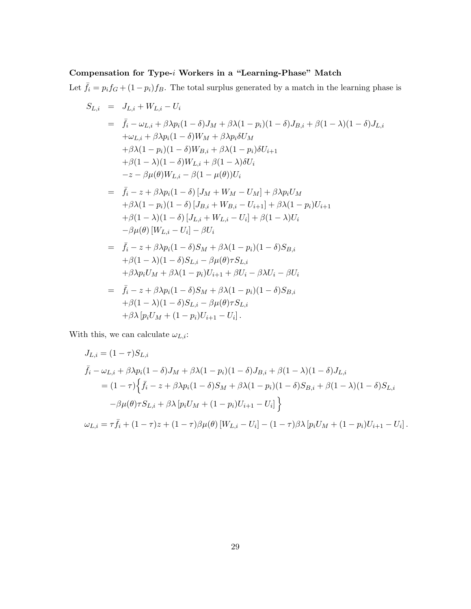# Compensation for Type-i Workers in a "Learning-Phase" Match

Let  $\bar{f}_i = p_i f_G + (1 - p_i) f_B$ . The total surplus generated by a match in the learning phase is

$$
S_{L,i} = J_{L,i} + W_{L,i} - U_i
$$
  
\n
$$
= \bar{f}_i - \omega_{L,i} + \beta \lambda p_i (1 - \delta) J_M + \beta \lambda (1 - p_i) (1 - \delta) J_{B,i} + \beta (1 - \lambda) (1 - \delta) J_{L,i}
$$
  
\n
$$
+ \omega_{L,i} + \beta \lambda p_i (1 - \delta) W_M + \beta \lambda p_i \delta U_M
$$
  
\n
$$
+ \beta \lambda (1 - p_i) (1 - \delta) W_{B,i} + \beta \lambda (1 - p_i) \delta U_{i+1}
$$
  
\n
$$
+ \beta (1 - \lambda) (1 - \delta) W_{L,i} + \beta (1 - \lambda) \delta U_i
$$
  
\n
$$
- z - \beta \mu (\theta) W_{L,i} - \beta (1 - \mu (\theta)) U_i
$$
  
\n
$$
= \bar{f}_i - z + \beta \lambda p_i (1 - \delta) [J_M + W_M - U_M] + \beta \lambda p_i U_M
$$
  
\n
$$
+ \beta \lambda (1 - p_i) (1 - \delta) [J_{B,i} + W_{B,i} - U_{i+1}] + \beta \lambda (1 - p_i) U_{i+1}
$$
  
\n
$$
+ \beta (1 - \lambda) (1 - \delta) [J_{L,i} + W_{L,i} - U_i] + \beta (1 - \lambda) U_i
$$
  
\n
$$
- \beta \mu (\theta) [W_{L,i} - U_i] - \beta U_i
$$
  
\n
$$
= \bar{f}_i - z + \beta \lambda p_i (1 - \delta) S_M + \beta \lambda (1 - p_i) (1 - \delta) S_{B,i}
$$
  
\n
$$
+ \beta (1 - \lambda) (1 - \delta) S_{L,i} - \beta \mu (\theta) \tau S_{L,i}
$$
  
\n
$$
+ \beta \lambda p_i U_M + \beta \lambda (1 - p_i) U_{i+1} + \beta U_i - \beta \lambda U_i - \beta U_i
$$
  
\n
$$
= \bar{f}_i - z + \beta \lambda p_i (1 - \delta) S_M + \beta \lambda (1 - p_i) (1 - \delta) S_{B,i}
$$
  
\n
$$
+ \beta (1 - \lambda) (1 - \delta) S_{L,i} - \beta \mu (\theta) \tau S_{L,i}
$$
  
\n

With this, we can calculate  $\omega_{L,i}$ :

$$
J_{L,i} = (1 - \tau)S_{L,i}
$$
  
\n
$$
\bar{f}_i - \omega_{L,i} + \beta \lambda p_i (1 - \delta)J_M + \beta \lambda (1 - p_i)(1 - \delta)J_{B,i} + \beta (1 - \lambda)(1 - \delta)J_{L,i}
$$
  
\n
$$
= (1 - \tau) \Big\{ \bar{f}_i - z + \beta \lambda p_i (1 - \delta)S_M + \beta \lambda (1 - p_i)(1 - \delta)S_{B,i} + \beta (1 - \lambda)(1 - \delta)S_{L,i}
$$
  
\n
$$
-\beta \mu(\theta) \tau S_{L,i} + \beta \lambda [p_i U_M + (1 - p_i)U_{i+1} - U_i] \Big\}
$$
  
\n
$$
\omega_{L,i} = \tau \bar{f}_i + (1 - \tau)z + (1 - \tau)\beta \mu(\theta) [W_{L,i} - U_i] - (1 - \tau)\beta \lambda [p_i U_M + (1 - p_i)U_{i+1} - U_i].
$$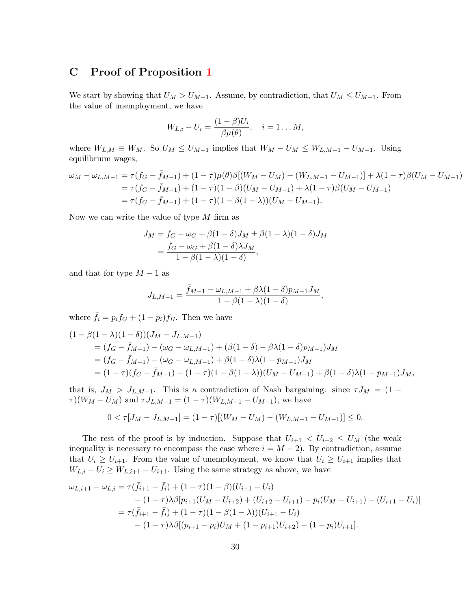## C Proof of Proposition [1](#page-16-0)

We start by showing that  $U_M > U_{M-1}$ . Assume, by contradiction, that  $U_M \leq U_{M-1}$ . From the value of unemployment, we have

$$
W_{L,i} - U_i = \frac{(1-\beta)U_i}{\beta \mu(\theta)}, \quad i = 1 \dots M,
$$

where  $W_{L,M} \equiv W_M$ . So  $U_M \leq U_{M-1}$  implies that  $W_M - U_M \leq W_{L,M-1} - U_{M-1}$ . Using equilibrium wages,

$$
\omega_M - \omega_{L,M-1} = \tau (f_G - \bar{f}_{M-1}) + (1 - \tau) \mu(\theta) \beta [(W_M - U_M) - (W_{L,M-1} - U_{M-1})] + \lambda (1 - \tau) \beta (U_M - U_{M-1})
$$
  
=  $\tau (f_G - \bar{f}_{M-1}) + (1 - \tau) (1 - \beta) (U_M - U_{M-1}) + \lambda (1 - \tau) \beta (U_M - U_{M-1})$   
=  $\tau (f_G - \bar{f}_{M-1}) + (1 - \tau) (1 - \beta (1 - \lambda)) (U_M - U_{M-1}).$ 

Now we can write the value of type  $M$  firm as

$$
J_M = f_G - \omega_G + \beta (1 - \delta) J_M \pm \beta (1 - \lambda)(1 - \delta) J_M
$$
  
= 
$$
\frac{f_G - \omega_G + \beta (1 - \delta) \lambda J_M}{1 - \beta (1 - \lambda)(1 - \delta)},
$$

and that for type  $M-1$  as

$$
J_{L,M-1} = \frac{\bar{f}_{M-1} - \omega_{L,M-1} + \beta \lambda (1 - \delta) p_{M-1} J_M}{1 - \beta (1 - \lambda)(1 - \delta)},
$$

where  $\bar{f}_i = p_i f_G + (1 - p_i) f_B$ . Then we have

$$
(1 - \beta(1 - \lambda)(1 - \delta))(J_M - J_{L,M-1})
$$
  
=  $(f_G - \bar{f}_{M-1}) - (\omega_G - \omega_{L,M-1}) + (\beta(1 - \delta) - \beta\lambda(1 - \delta)p_{M-1})J_M$   
=  $(f_G - \bar{f}_{M-1}) - (\omega_G - \omega_{L,M-1}) + \beta(1 - \delta)\lambda(1 - p_{M-1})J_M$   
=  $(1 - \tau)(f_G - \bar{f}_{M-1}) - (1 - \tau)(1 - \beta(1 - \lambda))(U_M - U_{M-1}) + \beta(1 - \delta)\lambda(1 - p_{M-1})J_M,$ 

that is,  $J_M > J_{L,M-1}$ . This is a contradiction of Nash bargaining: since  $\tau J_M = (1 \tau$ )( $W_M - U_M$ ) and  $\tau J_{L,M-1} = (1 - \tau)(W_{L,M-1} - U_{M-1})$ , we have

$$
0 < \tau [J_M - J_{L,M-1}] = (1 - \tau)[(W_M - U_M) - (W_{L,M-1} - U_{M-1})] \le 0.
$$

The rest of the proof is by induction. Suppose that  $U_{i+1} < U_{i+2} \leq U_M$  (the weak inequality is necessary to encompass the case where  $i = M - 2$ ). By contradiction, assume that  $U_i \geq U_{i+1}$ . From the value of unemployment, we know that  $U_i \geq U_{i+1}$  implies that  $W_{L,i} - U_i \ge W_{L,i+1} - U_{i+1}$ . Using the same strategy as above, we have

$$
\omega_{L,i+1} - \omega_{L,i} = \tau(\bar{f}_{i+1} - \bar{f}_i) + (1 - \tau)(1 - \beta)(U_{i+1} - U_i)
$$
  
\n
$$
- (1 - \tau)\lambda\beta[p_{i+1}(U_M - U_{i+2}) + (U_{i+2} - U_{i+1}) - p_i(U_M - U_{i+1}) - (U_{i+1} - U_i)]
$$
  
\n
$$
= \tau(\bar{f}_{i+1} - \bar{f}_i) + (1 - \tau)(1 - \beta(1 - \lambda))(U_{i+1} - U_i)
$$
  
\n
$$
- (1 - \tau)\lambda\beta[(p_{i+1} - p_i)U_M + (1 - p_{i+1})U_{i+2}) - (1 - p_i)U_{i+1}].
$$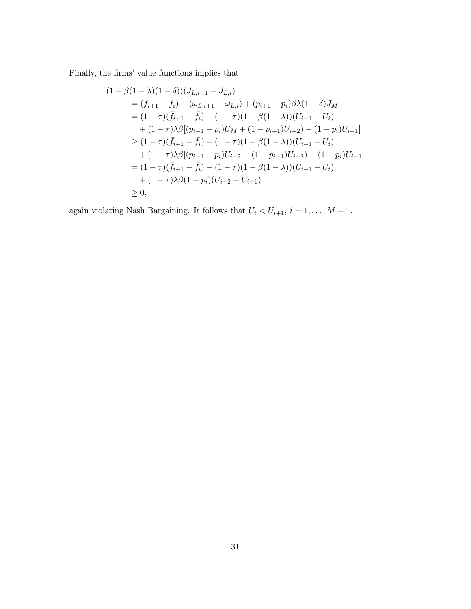Finally, the firms' value functions implies that

$$
(1 - \beta(1 - \lambda)(1 - \delta))(J_{L,i+1} - J_{L,i})
$$
  
\n
$$
= (\bar{f}_{i+1} - \bar{f}_i) - (\omega_{L,i+1} - \omega_{L,i}) + (p_{i+1} - p_i)\beta\lambda(1 - \delta)J_M
$$
  
\n
$$
= (1 - \tau)(\bar{f}_{i+1} - \bar{f}_i) - (1 - \tau)(1 - \beta(1 - \lambda))(U_{i+1} - U_i)
$$
  
\n
$$
+ (1 - \tau)\lambda\beta[(p_{i+1} - p_i)U_M + (1 - p_{i+1})U_{i+2}) - (1 - p_i)U_{i+1}]
$$
  
\n
$$
\geq (1 - \tau)(\bar{f}_{i+1} - \bar{f}_i) - (1 - \tau)(1 - \beta(1 - \lambda))(U_{i+1} - U_i)
$$
  
\n
$$
+ (1 - \tau)\lambda\beta[(p_{i+1} - p_i)U_{i+2} + (1 - p_{i+1})U_{i+2}) - (1 - p_i)U_{i+1}]
$$
  
\n
$$
= (1 - \tau)(\bar{f}_{i+1} - \bar{f}_i) - (1 - \tau)(1 - \beta(1 - \lambda))(U_{i+1} - U_i)
$$
  
\n
$$
+ (1 - \tau)\lambda\beta(1 - p_i)(U_{i+2} - U_{i+1})
$$
  
\n
$$
\geq 0,
$$

again violating Nash Bargaining. It follows that  $U_i < U_{i+1}$ ,  $i = 1, ..., M - 1$ .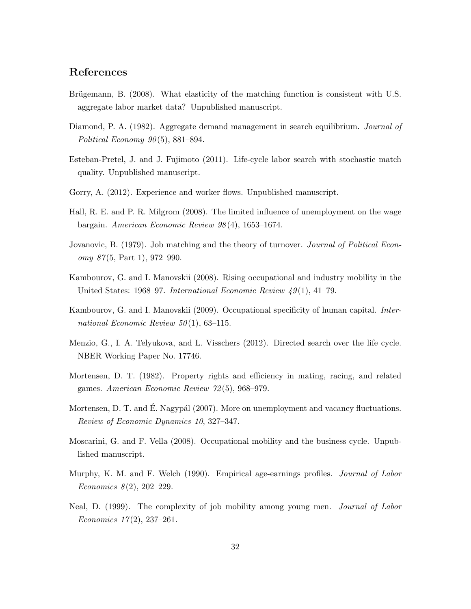# References

- <span id="page-32-11"></span>Brügemann, B. (2008). What elasticity of the matching function is consistent with U.S. aggregate labor market data? Unpublished manuscript.
- <span id="page-32-0"></span>Diamond, P. A. (1982). Aggregate demand management in search equilibrium. *Journal of* Political Economy  $90(5)$ , 881–894.
- <span id="page-32-6"></span>Esteban-Pretel, J. and J. Fujimoto (2011). Life-cycle labor search with stochastic match quality. Unpublished manuscript.
- <span id="page-32-7"></span>Gorry, A. (2012). Experience and worker flows. Unpublished manuscript.
- <span id="page-32-12"></span>Hall, R. E. and P. R. Milgrom (2008). The limited influence of unemployment on the wage bargain. American Economic Review 98 (4), 1653–1674.
- <span id="page-32-2"></span>Jovanovic, B. (1979). Job matching and the theory of turnover. Journal of Political Econ $omy 87(5, Part 1), 972-990.$
- <span id="page-32-8"></span>Kambourov, G. and I. Manovskii (2008). Rising occupational and industry mobility in the United States: 1968–97. *International Economic Review 49*(1), 41–79.
- <span id="page-32-4"></span>Kambourov, G. and I. Manovskii (2009). Occupational specificity of human capital. *Inter*national Economic Review  $50(1)$ , 63-115.
- <span id="page-32-3"></span>Menzio, G., I. A. Telyukova, and L. Visschers (2012). Directed search over the life cycle. NBER Working Paper No. 17746.
- <span id="page-32-1"></span>Mortensen, D. T. (1982). Property rights and efficiency in mating, racing, and related games. American Economic Review 72 (5), 968–979.
- <span id="page-32-10"></span>Mortensen, D. T. and  $\hat{E}$ . Nagypál (2007). More on unemployment and vacancy fluctuations. Review of Economic Dynamics 10, 327–347.
- <span id="page-32-9"></span>Moscarini, G. and F. Vella (2008). Occupational mobility and the business cycle. Unpublished manuscript.
- <span id="page-32-13"></span>Murphy, K. M. and F. Welch (1990). Empirical age-earnings profiles. *Journal of Labor* Economics  $8(2)$ , 202–229.
- <span id="page-32-5"></span>Neal, D. (1999). The complexity of job mobility among young men. Journal of Labor Economics  $17(2)$ , 237-261.